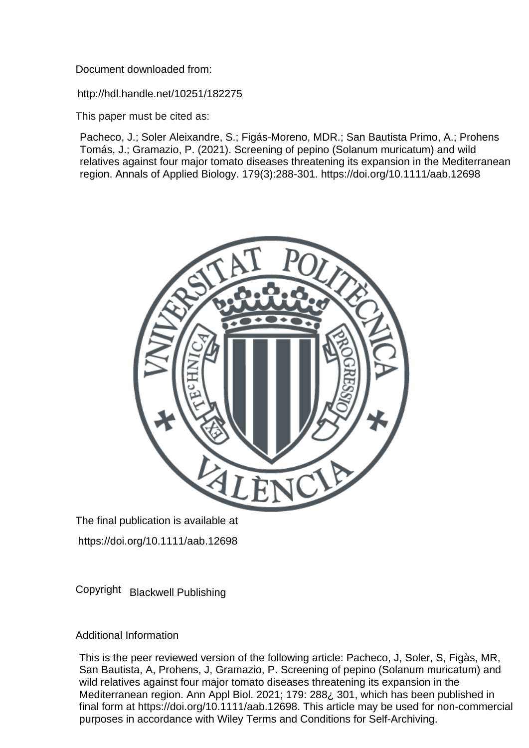Document downloaded from:

http://hdl.handle.net/10251/182275

This paper must be cited as:

Pacheco, J.; Soler Aleixandre, S.; Figás-Moreno, MDR.; San Bautista Primo, A.; Prohens Tomás, J.; Gramazio, P. (2021). Screening of pepino (Solanum muricatum) and wild relatives against four major tomato diseases threatening its expansion in the Mediterranean region. Annals of Applied Biology. 179(3):288-301. https://doi.org/10.1111/aab.12698



The final publication is available at

https://doi.org/10.1111/aab.12698

Copyright Blackwell Publishing

Additional Information

This is the peer reviewed version of the following article: Pacheco, J, Soler, S, Figàs, MR, San Bautista, A, Prohens, J, Gramazio, P. Screening of pepino (Solanum muricatum) and wild relatives against four major tomato diseases threatening its expansion in the Mediterranean region. Ann Appl Biol. 2021; 179: 288¿ 301, which has been published in final form at https://doi.org/10.1111/aab.12698. This article may be used for non-commercial purposes in accordance with Wiley Terms and Conditions for Self-Archiving.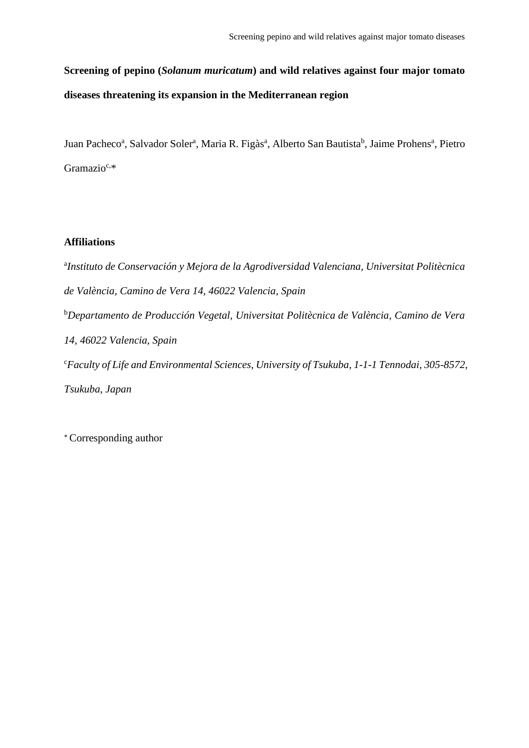# **Screening of pepino (***Solanum muricatum***) and wild relatives against four major tomato diseases threatening its expansion in the Mediterranean region**

Juan Pacheco<sup>a</sup>, Salvador Soler<sup>a</sup>, Maria R. Figàs<sup>a</sup>, Alberto San Bautista<sup>b</sup>, Jaime Prohens<sup>a</sup>, Pietro Gramazio<sup>c,\*</sup>

# **Affiliations**

a *Instituto de Conservación y Mejora de la Agrodiversidad Valenciana, Universitat Politècnica de València, Camino de Vera 14, 46022 Valencia, Spain* <sup>b</sup>*Departamento de Producción Vegetal, Universitat Politècnica de València, Camino de Vera 14, 46022 Valencia, Spain* <sup>c</sup>*Faculty of Life and Environmental Sciences, University of Tsukuba, 1-1-1 Tennodai, 305-8572, Tsukuba, Japan*

⁎ Corresponding author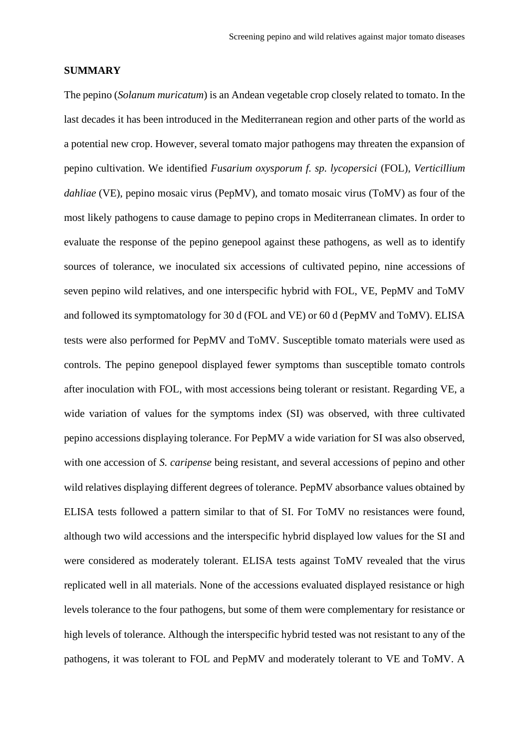#### **SUMMARY**

The pepino (*Solanum muricatum*) is an Andean vegetable crop closely related to tomato. In the last decades it has been introduced in the Mediterranean region and other parts of the world as a potential new crop. However, several tomato major pathogens may threaten the expansion of pepino cultivation. We identified *Fusarium oxysporum f. sp. lycopersici* (FOL), *Verticillium dahliae* (VE), pepino mosaic virus (PepMV), and tomato mosaic virus (ToMV) as four of the most likely pathogens to cause damage to pepino crops in Mediterranean climates. In order to evaluate the response of the pepino genepool against these pathogens, as well as to identify sources of tolerance, we inoculated six accessions of cultivated pepino, nine accessions of seven pepino wild relatives, and one interspecific hybrid with FOL, VE, PepMV and ToMV and followed its symptomatology for 30 d (FOL and VE) or 60 d (PepMV and ToMV). ELISA tests were also performed for PepMV and ToMV. Susceptible tomato materials were used as controls. The pepino genepool displayed fewer symptoms than susceptible tomato controls after inoculation with FOL, with most accessions being tolerant or resistant. Regarding VE, a wide variation of values for the symptoms index (SI) was observed, with three cultivated pepino accessions displaying tolerance. For PepMV a wide variation for SI was also observed, with one accession of *S. caripense* being resistant, and several accessions of pepino and other wild relatives displaying different degrees of tolerance. PepMV absorbance values obtained by ELISA tests followed a pattern similar to that of SI. For ToMV no resistances were found, although two wild accessions and the interspecific hybrid displayed low values for the SI and were considered as moderately tolerant. ELISA tests against ToMV revealed that the virus replicated well in all materials. None of the accessions evaluated displayed resistance or high levels tolerance to the four pathogens, but some of them were complementary for resistance or high levels of tolerance. Although the interspecific hybrid tested was not resistant to any of the pathogens, it was tolerant to FOL and PepMV and moderately tolerant to VE and ToMV. A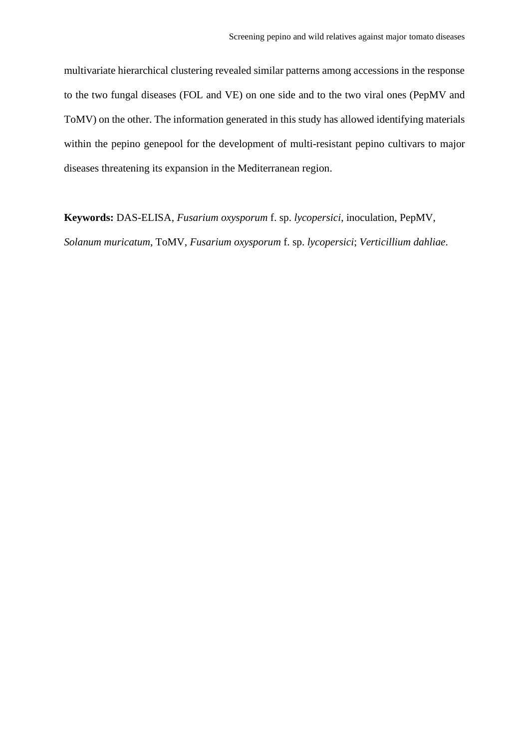multivariate hierarchical clustering revealed similar patterns among accessions in the response to the two fungal diseases (FOL and VE) on one side and to the two viral ones (PepMV and ToMV) on the other. The information generated in this study has allowed identifying materials within the pepino genepool for the development of multi-resistant pepino cultivars to major diseases threatening its expansion in the Mediterranean region.

**Keywords:** DAS-ELISA, *Fusarium oxysporum* f. sp. *lycopersici*, inoculation, PepMV, *Solanum muricatum*, ToMV, *Fusarium oxysporum* f. sp. *lycopersici*; *Verticillium dahliae*.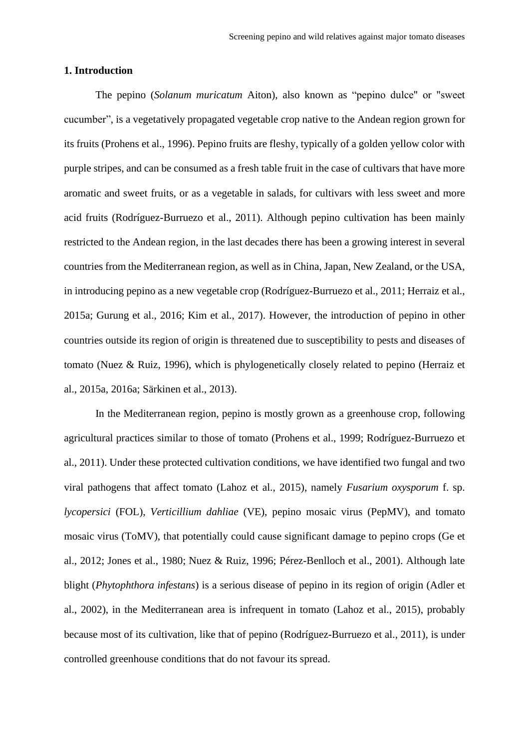# **1. Introduction**

The pepino (*Solanum muricatum* Aiton), also known as "pepino dulce" or "sweet cucumber", is a vegetatively propagated vegetable crop native to the Andean region grown for its fruits (Prohens et al., 1996). Pepino fruits are fleshy, typically of a golden yellow color with purple stripes, and can be consumed as a fresh table fruit in the case of cultivars that have more aromatic and sweet fruits, or as a vegetable in salads, for cultivars with less sweet and more acid fruits (Rodríguez-Burruezo et al., 2011). Although pepino cultivation has been mainly restricted to the Andean region, in the last decades there has been a growing interest in several countries from the Mediterranean region, as well as in China, Japan, New Zealand, or the USA, in introducing pepino as a new vegetable crop (Rodríguez-Burruezo et al., 2011; Herraiz et al., 2015a; Gurung et al., 2016; Kim et al., 2017). However, the introduction of pepino in other countries outside its region of origin is threatened due to susceptibility to pests and diseases of tomato (Nuez & Ruiz, 1996), which is phylogenetically closely related to pepino (Herraiz et al., 2015a, 2016a; Särkinen et al., 2013).

In the Mediterranean region, pepino is mostly grown as a greenhouse crop, following agricultural practices similar to those of tomato (Prohens et al., 1999; Rodríguez-Burruezo et al., 2011). Under these protected cultivation conditions, we have identified two fungal and two viral pathogens that affect tomato (Lahoz et al., 2015), namely *Fusarium oxysporum* f. sp. *lycopersici* (FOL), *Verticillium dahliae* (VE), pepino mosaic virus (PepMV), and tomato mosaic virus (ToMV), that potentially could cause significant damage to pepino crops (Ge et al., 2012; Jones et al., 1980; Nuez & Ruiz, 1996; Pérez-Benlloch et al., 2001). Although late blight (*Phytophthora infestans*) is a serious disease of pepino in its region of origin (Adler et al., 2002), in the Mediterranean area is infrequent in tomato (Lahoz et al., 2015), probably because most of its cultivation, like that of pepino (Rodríguez-Burruezo et al., 2011), is under controlled greenhouse conditions that do not favour its spread.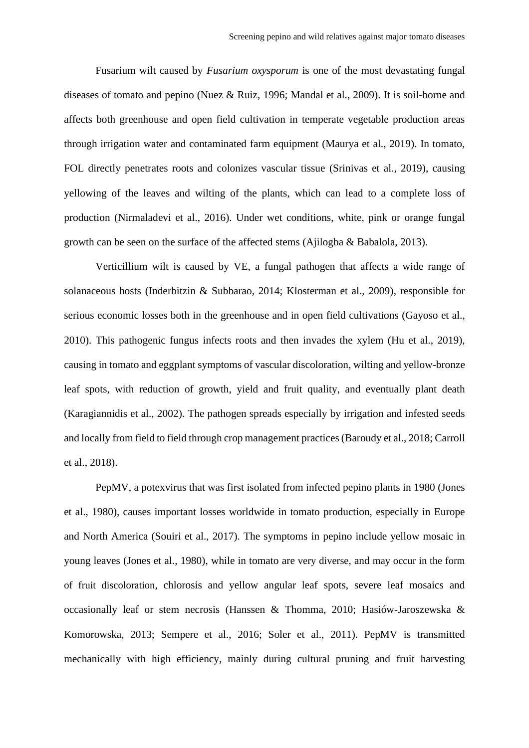Fusarium wilt caused by *Fusarium oxysporum* is one of the most devastating fungal diseases of tomato and pepino (Nuez & Ruiz, 1996; Mandal et al., 2009). It is soil-borne and affects both greenhouse and open field cultivation in temperate vegetable production areas through irrigation water and contaminated farm equipment (Maurya et al., 2019). In tomato, FOL directly penetrates roots and colonizes vascular tissue (Srinivas et al., 2019), causing yellowing of the leaves and wilting of the plants, which can lead to a complete loss of production (Nirmaladevi et al., 2016). Under wet conditions, white, pink or orange fungal growth can be seen on the surface of the affected stems (Ajilogba & Babalola, 2013).

Verticillium wilt is caused by VE, a fungal pathogen that affects a wide range of solanaceous hosts (Inderbitzin & Subbarao, 2014; Klosterman et al., 2009), responsible for serious economic losses both in the greenhouse and in open field cultivations (Gayoso et al., 2010). This pathogenic fungus infects roots and then invades the xylem (Hu et al., 2019), causing in tomato and eggplant symptoms of vascular discoloration, wilting and yellow-bronze leaf spots, with reduction of growth, yield and fruit quality, and eventually plant death (Karagiannidis et al., 2002). The pathogen spreads especially by irrigation and infested seeds and locally from field to field through crop management practices(Baroudy et al., 2018; Carroll et al., 2018).

PepMV, a potexvirus that was first isolated from infected pepino plants in 1980 (Jones et al., 1980), causes important losses worldwide in tomato production, especially in Europe and North America (Souiri et al., 2017). The symptoms in pepino include yellow mosaic in young leaves (Jones et al., 1980), while in tomato are very diverse, and may occur in the form of fruit discoloration, chlorosis and yellow angular leaf spots, severe leaf mosaics and occasionally leaf or stem necrosis (Hanssen & Thomma, 2010; Hasiów-Jaroszewska & Komorowska, 2013; Sempere et al., 2016; Soler et al., 2011). PepMV is transmitted mechanically with high efficiency, mainly during cultural pruning and fruit harvesting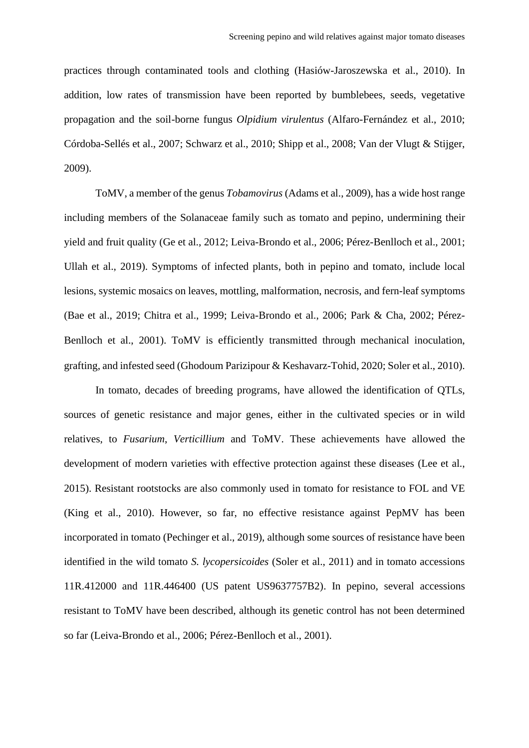practices through contaminated tools and clothing (Hasiów-Jaroszewska et al., 2010). In addition, low rates of transmission have been reported by bumblebees, seeds, vegetative propagation and the soil-borne fungus *Olpidium virulentus* (Alfaro-Fernández et al., 2010; Córdoba-Sellés et al., 2007; Schwarz et al., 2010; Shipp et al., 2008; Van der Vlugt & Stijger, 2009).

ToMV, a member of the genus *Tobamovirus* (Adams et al., 2009), has a wide host range including members of the Solanaceae family such as tomato and pepino, undermining their yield and fruit quality (Ge et al., 2012; Leiva-Brondo et al., 2006; Pérez-Benlloch et al., 2001; Ullah et al., 2019). Symptoms of infected plants, both in pepino and tomato, include local lesions, systemic mosaics on leaves, mottling, malformation, necrosis, and fern-leaf symptoms (Bae et al., 2019; Chitra et al., 1999; Leiva-Brondo et al., 2006; Park & Cha, 2002; Pérez-Benlloch et al., 2001). ToMV is efficiently transmitted through mechanical inoculation, grafting, and infested seed (Ghodoum Parizipour & Keshavarz-Tohid, 2020; Soler et al., 2010).

In tomato, decades of breeding programs, have allowed the identification of QTLs, sources of genetic resistance and major genes, either in the cultivated species or in wild relatives, to *Fusarium*, *Verticillium* and ToMV. These achievements have allowed the development of modern varieties with effective protection against these diseases (Lee et al., 2015). Resistant rootstocks are also commonly used in tomato for resistance to FOL and VE (King et al., 2010). However, so far, no effective resistance against PepMV has been incorporated in tomato (Pechinger et al., 2019), although some sources of resistance have been identified in the wild tomato *S. lycopersicoides* (Soler et al., 2011) and in tomato accessions 11R.412000 and 11R.446400 (US patent US9637757B2). In pepino, several accessions resistant to ToMV have been described, although its genetic control has not been determined so far (Leiva-Brondo et al., 2006; Pérez-Benlloch et al., 2001).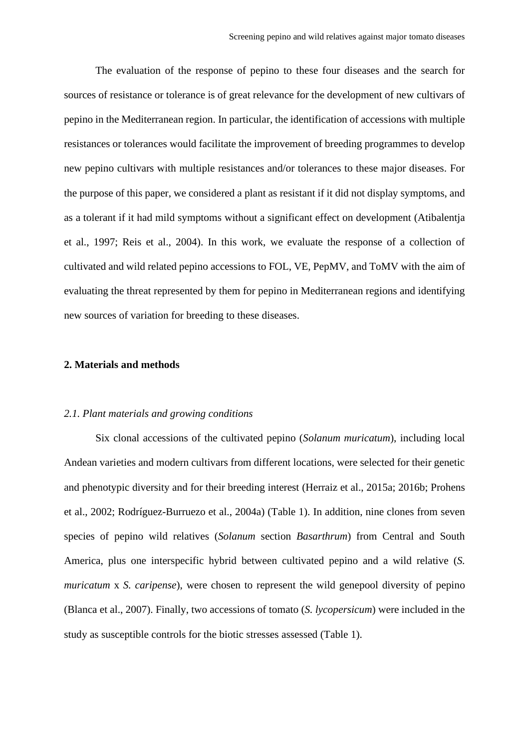The evaluation of the response of pepino to these four diseases and the search for sources of resistance or tolerance is of great relevance for the development of new cultivars of pepino in the Mediterranean region. In particular, the identification of accessions with multiple resistances or tolerances would facilitate the improvement of breeding programmes to develop new pepino cultivars with multiple resistances and/or tolerances to these major diseases. For the purpose of this paper, we considered a plant as resistant if it did not display symptoms, and as a tolerant if it had mild symptoms without a significant effect on development (Atibalentja et al., 1997; Reis et al., 2004). In this work, we evaluate the response of a collection of cultivated and wild related pepino accessions to FOL, VE, PepMV, and ToMV with the aim of evaluating the threat represented by them for pepino in Mediterranean regions and identifying new sources of variation for breeding to these diseases.

# **2. Materials and methods**

#### *2.1. Plant materials and growing conditions*

Six clonal accessions of the cultivated pepino (*Solanum muricatum*), including local Andean varieties and modern cultivars from different locations, were selected for their genetic and phenotypic diversity and for their breeding interest (Herraiz et al., 2015a; 2016b; Prohens et al., 2002; Rodríguez-Burruezo et al., 2004a) (Table 1). In addition, nine clones from seven species of pepino wild relatives (*Solanum* section *Basarthrum*) from Central and South America, plus one interspecific hybrid between cultivated pepino and a wild relative (*S. muricatum* x *S. caripense*), were chosen to represent the wild genepool diversity of pepino (Blanca et al., 2007). Finally, two accessions of tomato (*S. lycopersicum*) were included in the study as susceptible controls for the biotic stresses assessed (Table 1).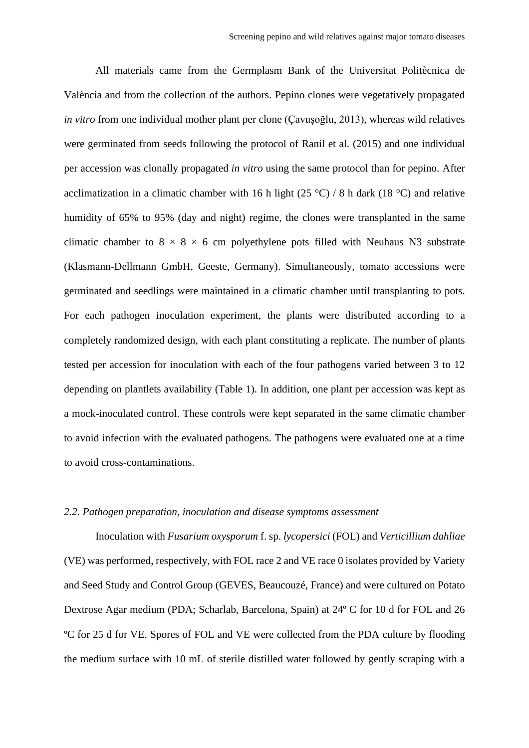All materials came from the Germplasm Bank of the Universitat Politècnica de València and from the collection of the authors. Pepino clones were vegetatively propagated *in vitro* from one individual mother plant per clone (Çavuşoğlu, 2013), whereas wild relatives were germinated from seeds following the protocol of Ranil et al. (2015) and one individual per accession was clonally propagated *in vitro* using the same protocol than for pepino. After acclimatization in a climatic chamber with 16 h light (25 °C) / 8 h dark (18 °C) and relative humidity of 65% to 95% (day and night) regime, the clones were transplanted in the same climatic chamber to  $8 \times 8 \times 6$  cm polyethylene pots filled with Neuhaus N3 substrate (Klasmann-Dellmann GmbH, Geeste, Germany). Simultaneously, tomato accessions were germinated and seedlings were maintained in a climatic chamber until transplanting to pots. For each pathogen inoculation experiment, the plants were distributed according to a completely randomized design, with each plant constituting a replicate. The number of plants tested per accession for inoculation with each of the four pathogens varied between 3 to 12 depending on plantlets availability (Table 1). In addition, one plant per accession was kept as a mock-inoculated control. These controls were kept separated in the same climatic chamber to avoid infection with the evaluated pathogens. The pathogens were evaluated one at a time to avoid cross-contaminations.

# *2.2. Pathogen preparation, inoculation and disease symptoms assessment*

Inoculation with *Fusarium oxysporum* f. sp. *lycopersici* (FOL) and *Verticillium dahliae* (VE) was performed, respectively, with FOL race 2 and VE race 0 isolates provided by Variety and Seed Study and Control Group (GEVES, Beaucouzé, France) and were cultured on Potato Dextrose Agar medium (PDA; Scharlab, Barcelona, Spain) at 24º C for 10 d for FOL and 26 ºC for 25 d for VE. Spores of FOL and VE were collected from the PDA culture by flooding the medium surface with 10 mL of sterile distilled water followed by gently scraping with a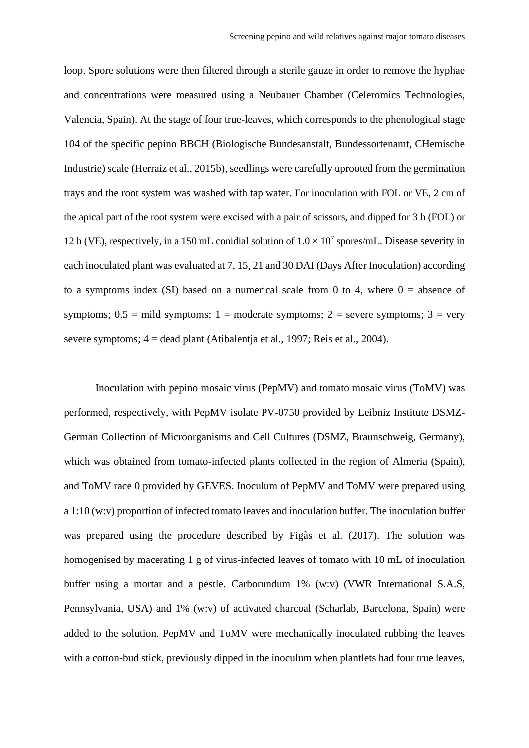loop. Spore solutions were then filtered through a sterile gauze in order to remove the hyphae and concentrations were measured using a Neubauer Chamber (Celeromics Technologies, Valencia, Spain). At the stage of four true-leaves, which corresponds to the phenological stage 104 of the specific pepino BBCH (Biologische Bundesanstalt, Bundessortenamt, CHemische Industrie) scale (Herraiz et al., 2015b), seedlings were carefully uprooted from the germination trays and the root system was washed with tap water. For inoculation with FOL or VE, 2 cm of the apical part of the root system were excised with a pair of scissors, and dipped for 3 h (FOL) or 12 h (VE), respectively, in a 150 mL conidial solution of  $1.0 \times 10^7$  spores/mL. Disease severity in each inoculated plant was evaluated at 7, 15, 21 and 30 DAI (Days After Inoculation) according to a symptoms index (SI) based on a numerical scale from 0 to 4, where  $0 =$  absence of symptoms;  $0.5 =$  mild symptoms;  $1 =$  moderate symptoms;  $2 =$  severe symptoms;  $3 =$  very severe symptoms; 4 = dead plant (Atibalentja et al., 1997; Reis et al., 2004).

Inoculation with pepino mosaic virus (PepMV) and tomato mosaic virus (ToMV) was performed, respectively, with PepMV isolate PV-0750 provided by Leibniz Institute DSMZ-German Collection of Microorganisms and Cell Cultures (DSMZ, Braunschweig, Germany), which was obtained from tomato-infected plants collected in the region of Almeria (Spain), and ToMV race 0 provided by GEVES. Inoculum of PepMV and ToMV were prepared using a 1:10 (w:v) proportion of infected tomato leaves and inoculation buffer. The inoculation buffer was prepared using the procedure described by Figàs et al. (2017). The solution was homogenised by macerating 1 g of virus-infected leaves of tomato with 10 mL of inoculation buffer using a mortar and a pestle. Carborundum 1% (w:v) (VWR International S.A.S, Pennsylvania, USA) and 1% (w:v) of activated charcoal (Scharlab, Barcelona, Spain) were added to the solution. PepMV and ToMV were mechanically inoculated rubbing the leaves with a cotton-bud stick, previously dipped in the inoculum when plantlets had four true leaves,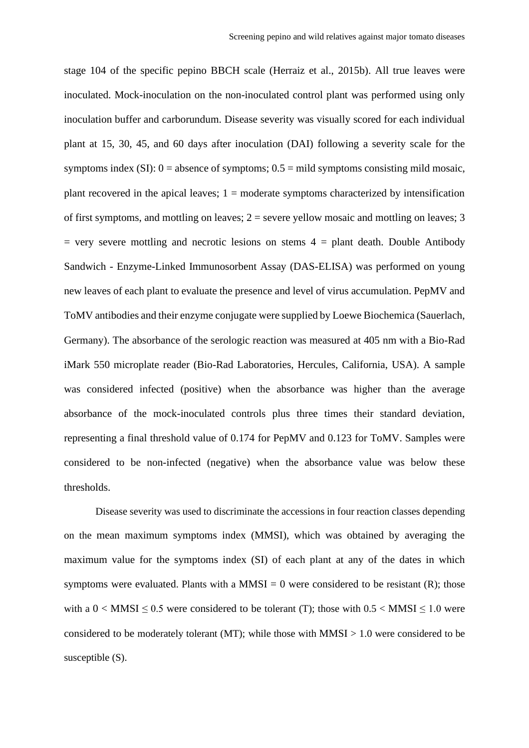stage 104 of the specific pepino BBCH scale (Herraiz et al., 2015b). All true leaves were inoculated. Mock-inoculation on the non-inoculated control plant was performed using only inoculation buffer and carborundum. Disease severity was visually scored for each individual plant at 15, 30, 45, and 60 days after inoculation (DAI) following a severity scale for the symptoms index  $(SI): 0$  = absence of symptoms;  $0.5$  = mild symptoms consisting mild mosaic, plant recovered in the apical leaves;  $1 =$  moderate symptoms characterized by intensification of first symptoms, and mottling on leaves;  $2 =$  severe yellow mosaic and mottling on leaves; 3  $=$  very severe mottling and necrotic lesions on stems  $4 =$  plant death. Double Antibody Sandwich - Enzyme-Linked Immunosorbent Assay (DAS-ELISA) was performed on young new leaves of each plant to evaluate the presence and level of virus accumulation. PepMV and ToMV antibodies and their enzyme conjugate were supplied by Loewe Biochemica (Sauerlach, Germany). The absorbance of the serologic reaction was measured at 405 nm with a Bio-Rad iMark 550 microplate reader (Bio-Rad Laboratories, Hercules, California, USA). A sample was considered infected (positive) when the absorbance was higher than the average absorbance of the mock-inoculated controls plus three times their standard deviation, representing a final threshold value of 0.174 for PepMV and 0.123 for ToMV. Samples were considered to be non-infected (negative) when the absorbance value was below these thresholds.

Disease severity was used to discriminate the accessions in four reaction classes depending on the mean maximum symptoms index (MMSI), which was obtained by averaging the maximum value for the symptoms index (SI) of each plant at any of the dates in which symptoms were evaluated. Plants with a  $MMSI = 0$  were considered to be resistant (R); those with a  $0 <$  MMSI  $\leq$  0.5 were considered to be tolerant (T); those with 0.5  $<$  MMSI  $\leq$  1.0 were considered to be moderately tolerant (MT); while those with  $MMSI > 1.0$  were considered to be susceptible  $(S)$ .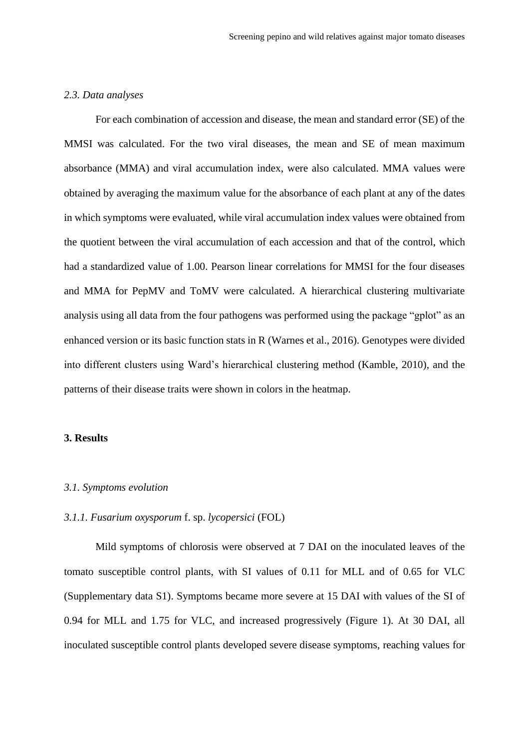# *2.3. Data analyses*

For each combination of accession and disease, the mean and standard error (SE) of the MMSI was calculated. For the two viral diseases, the mean and SE of mean maximum absorbance (MMA) and viral accumulation index, were also calculated. MMA values were obtained by averaging the maximum value for the absorbance of each plant at any of the dates in which symptoms were evaluated, while viral accumulation index values were obtained from the quotient between the viral accumulation of each accession and that of the control, which had a standardized value of 1.00. Pearson linear correlations for MMSI for the four diseases and MMA for PepMV and ToMV were calculated. A hierarchical clustering multivariate analysis using all data from the four pathogens was performed using the package "gplot" as an enhanced version or its basic function stats in R (Warnes et al., 2016). Genotypes were divided into different clusters using Ward's hierarchical clustering method (Kamble, 2010), and the patterns of their disease traits were shown in colors in the heatmap.

# **3. Results**

#### *3.1. Symptoms evolution*

# *3.1.1. Fusarium oxysporum* f. sp. *lycopersici* (FOL)

Mild symptoms of chlorosis were observed at 7 DAI on the inoculated leaves of the tomato susceptible control plants, with SI values of 0.11 for MLL and of 0.65 for VLC (Supplementary data S1). Symptoms became more severe at 15 DAI with values of the SI of 0.94 for MLL and 1.75 for VLC, and increased progressively (Figure 1). At 30 DAI, all inoculated susceptible control plants developed severe disease symptoms, reaching values for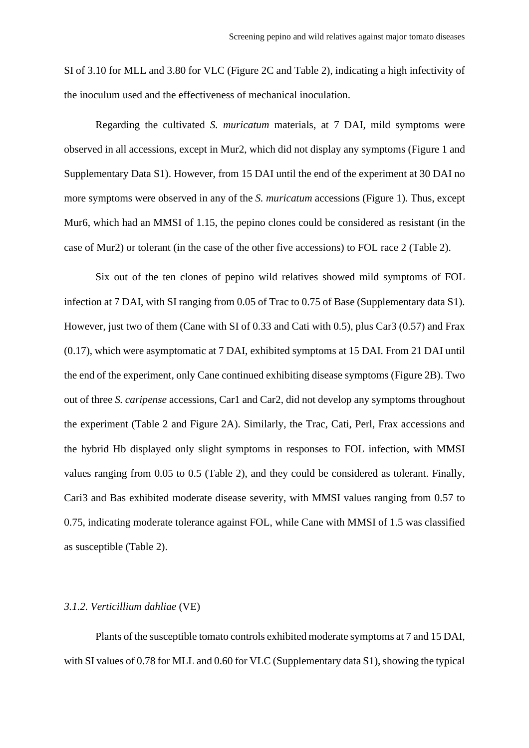SI of 3.10 for MLL and 3.80 for VLC (Figure 2C and Table 2), indicating a high infectivity of the inoculum used and the effectiveness of mechanical inoculation.

Regarding the cultivated *S. muricatum* materials, at 7 DAI, mild symptoms were observed in all accessions, except in Mur2, which did not display any symptoms (Figure 1 and Supplementary Data S1). However, from 15 DAI until the end of the experiment at 30 DAI no more symptoms were observed in any of the *S. muricatum* accessions (Figure 1). Thus, except Mur6, which had an MMSI of 1.15, the pepino clones could be considered as resistant (in the case of Mur2) or tolerant (in the case of the other five accessions) to FOL race 2 (Table 2).

Six out of the ten clones of pepino wild relatives showed mild symptoms of FOL infection at 7 DAI, with SI ranging from 0.05 of Trac to 0.75 of Base (Supplementary data S1). However, just two of them (Cane with SI of 0.33 and Cati with 0.5), plus Car3 (0.57) and Frax (0.17), which were asymptomatic at 7 DAI, exhibited symptoms at 15 DAI. From 21 DAI until the end of the experiment, only Cane continued exhibiting disease symptoms (Figure 2B). Two out of three *S. caripense* accessions, Car1 and Car2, did not develop any symptoms throughout the experiment (Table 2 and Figure 2A). Similarly, the Trac, Cati, Perl, Frax accessions and the hybrid Hb displayed only slight symptoms in responses to FOL infection, with MMSI values ranging from 0.05 to 0.5 (Table 2), and they could be considered as tolerant. Finally, Cari3 and Bas exhibited moderate disease severity, with MMSI values ranging from 0.57 to 0.75, indicating moderate tolerance against FOL, while Cane with MMSI of 1.5 was classified as susceptible (Table 2).

#### *3.1.2. Verticillium dahliae* (VE)

Plants of the susceptible tomato controls exhibited moderate symptoms at 7 and 15 DAI, with SI values of 0.78 for MLL and 0.60 for VLC (Supplementary data S1), showing the typical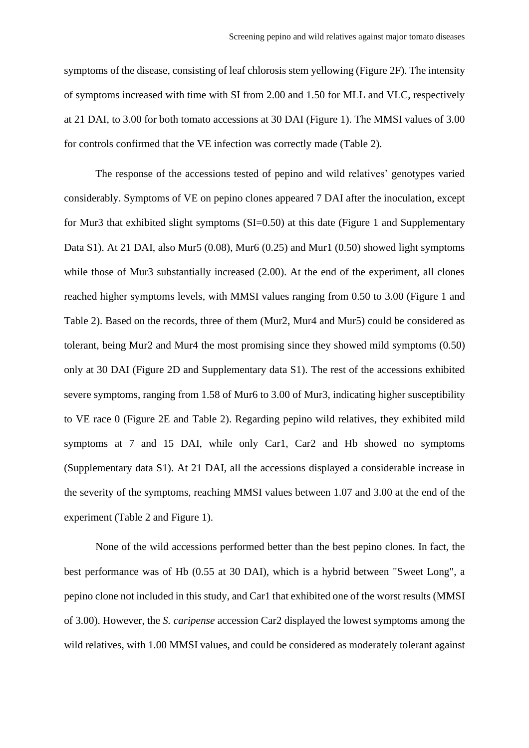symptoms of the disease, consisting of leaf chlorosis stem yellowing (Figure 2F). The intensity of symptoms increased with time with SI from 2.00 and 1.50 for MLL and VLC, respectively at 21 DAI, to 3.00 for both tomato accessions at 30 DAI (Figure 1). The MMSI values of 3.00 for controls confirmed that the VE infection was correctly made (Table 2).

The response of the accessions tested of pepino and wild relatives' genotypes varied considerably. Symptoms of VE on pepino clones appeared 7 DAI after the inoculation, except for Mur3 that exhibited slight symptoms (SI=0.50) at this date (Figure 1 and Supplementary Data S1). At 21 DAI, also Mur5 (0.08), Mur6 (0.25) and Mur1 (0.50) showed light symptoms while those of Mur3 substantially increased  $(2.00)$ . At the end of the experiment, all clones reached higher symptoms levels, with MMSI values ranging from 0.50 to 3.00 (Figure 1 and Table 2). Based on the records, three of them (Mur2, Mur4 and Mur5) could be considered as tolerant, being Mur2 and Mur4 the most promising since they showed mild symptoms (0.50) only at 30 DAI (Figure 2D and Supplementary data S1). The rest of the accessions exhibited severe symptoms, ranging from 1.58 of Mur6 to 3.00 of Mur3, indicating higher susceptibility to VE race 0 (Figure 2E and Table 2). Regarding pepino wild relatives, they exhibited mild symptoms at 7 and 15 DAI, while only Car1, Car2 and Hb showed no symptoms (Supplementary data S1). At 21 DAI, all the accessions displayed a considerable increase in the severity of the symptoms, reaching MMSI values between 1.07 and 3.00 at the end of the experiment (Table 2 and Figure 1).

None of the wild accessions performed better than the best pepino clones. In fact, the best performance was of Hb (0.55 at 30 DAI), which is a hybrid between "Sweet Long", a pepino clone not included in this study, and Car1 that exhibited one of the worst results (MMSI of 3.00). However, the *S. caripense* accession Car2 displayed the lowest symptoms among the wild relatives, with 1.00 MMSI values, and could be considered as moderately tolerant against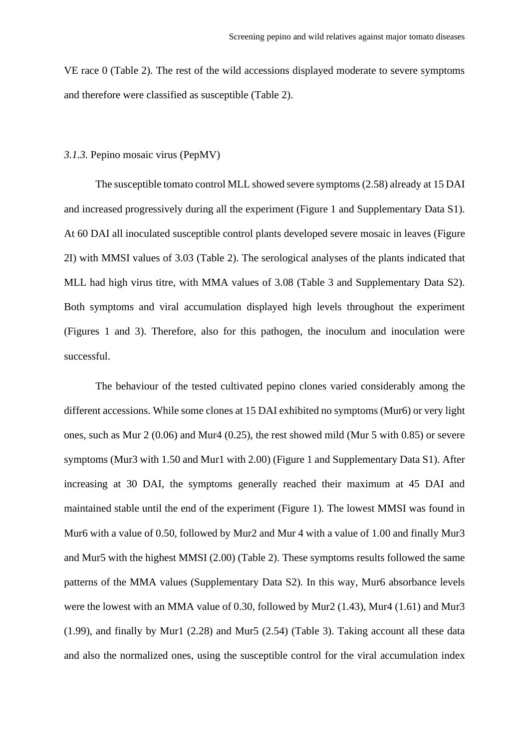VE race 0 (Table 2). The rest of the wild accessions displayed moderate to severe symptoms and therefore were classified as susceptible (Table 2).

# *3.1.3.* Pepino mosaic virus (PepMV)

The susceptible tomato control MLL showed severe symptoms(2.58) already at 15 DAI and increased progressively during all the experiment (Figure 1 and Supplementary Data S1). At 60 DAI all inoculated susceptible control plants developed severe mosaic in leaves (Figure 2I) with MMSI values of 3.03 (Table 2). The serological analyses of the plants indicated that MLL had high virus titre, with MMA values of 3.08 (Table 3 and Supplementary Data S2). Both symptoms and viral accumulation displayed high levels throughout the experiment (Figures 1 and 3). Therefore, also for this pathogen, the inoculum and inoculation were successful.

The behaviour of the tested cultivated pepino clones varied considerably among the different accessions. While some clones at 15 DAI exhibited no symptoms (Mur6) or very light ones, such as Mur 2 (0.06) and Mur4 (0.25), the rest showed mild (Mur 5 with 0.85) or severe symptoms (Mur3 with 1.50 and Mur1 with 2.00) (Figure 1 and Supplementary Data S1). After increasing at 30 DAI, the symptoms generally reached their maximum at 45 DAI and maintained stable until the end of the experiment (Figure 1). The lowest MMSI was found in Mur6 with a value of 0.50, followed by Mur2 and Mur 4 with a value of 1.00 and finally Mur3 and Mur5 with the highest MMSI (2.00) (Table 2). These symptoms results followed the same patterns of the MMA values (Supplementary Data S2). In this way, Mur6 absorbance levels were the lowest with an MMA value of 0.30, followed by Mur2 (1.43), Mur4 (1.61) and Mur3 (1.99), and finally by Mur1 (2.28) and Mur5 (2.54) (Table 3). Taking account all these data and also the normalized ones, using the susceptible control for the viral accumulation index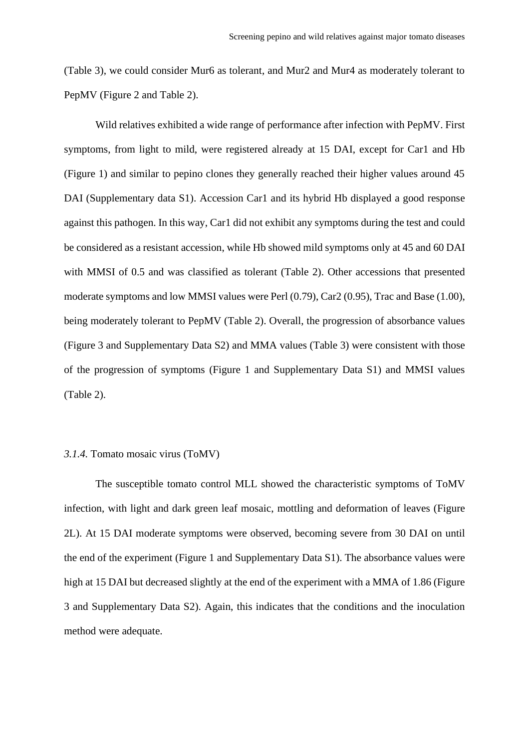(Table 3), we could consider Mur6 as tolerant, and Mur2 and Mur4 as moderately tolerant to PepMV (Figure 2 and Table 2).

Wild relatives exhibited a wide range of performance after infection with PepMV. First symptoms, from light to mild, were registered already at 15 DAI, except for Car1 and Hb (Figure 1) and similar to pepino clones they generally reached their higher values around 45 DAI (Supplementary data S1). Accession Car1 and its hybrid Hb displayed a good response against this pathogen. In this way, Car1 did not exhibit any symptoms during the test and could be considered as a resistant accession, while Hb showed mild symptoms only at 45 and 60 DAI with MMSI of 0.5 and was classified as tolerant (Table 2). Other accessions that presented moderate symptoms and low MMSI values were Perl (0.79), Car2 (0.95), Trac and Base (1.00), being moderately tolerant to PepMV (Table 2). Overall, the progression of absorbance values (Figure 3 and Supplementary Data S2) and MMA values (Table 3) were consistent with those of the progression of symptoms (Figure 1 and Supplementary Data S1) and MMSI values (Table 2).

# *3.1.4.* Tomato mosaic virus (ToMV)

The susceptible tomato control MLL showed the characteristic symptoms of ToMV infection, with light and dark green leaf mosaic, mottling and deformation of leaves (Figure 2L). At 15 DAI moderate symptoms were observed, becoming severe from 30 DAI on until the end of the experiment (Figure 1 and Supplementary Data S1). The absorbance values were high at 15 DAI but decreased slightly at the end of the experiment with a MMA of 1.86 (Figure 3 and Supplementary Data S2). Again, this indicates that the conditions and the inoculation method were adequate.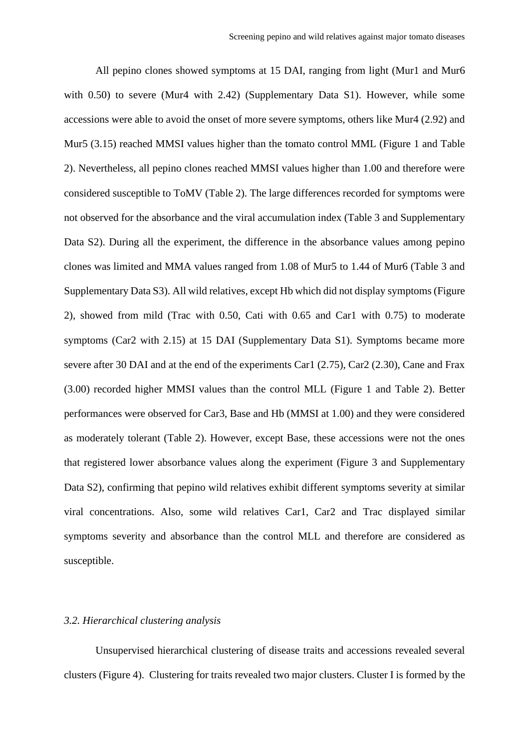All pepino clones showed symptoms at 15 DAI, ranging from light (Mur1 and Mur6 with 0.50) to severe (Mur4 with 2.42) (Supplementary Data S1). However, while some accessions were able to avoid the onset of more severe symptoms, others like Mur4 (2.92) and Mur5 (3.15) reached MMSI values higher than the tomato control MML (Figure 1 and Table 2). Nevertheless, all pepino clones reached MMSI values higher than 1.00 and therefore were considered susceptible to ToMV (Table 2). The large differences recorded for symptoms were not observed for the absorbance and the viral accumulation index (Table 3 and Supplementary Data S2). During all the experiment, the difference in the absorbance values among pepino clones was limited and MMA values ranged from 1.08 of Mur5 to 1.44 of Mur6 (Table 3 and Supplementary Data S3). All wild relatives, except Hb which did not display symptoms (Figure 2), showed from mild (Trac with 0.50, Cati with 0.65 and Car1 with 0.75) to moderate symptoms (Car2 with 2.15) at 15 DAI (Supplementary Data S1). Symptoms became more severe after 30 DAI and at the end of the experiments Car1 (2.75), Car2 (2.30), Cane and Frax (3.00) recorded higher MMSI values than the control MLL (Figure 1 and Table 2). Better performances were observed for Car3, Base and Hb (MMSI at 1.00) and they were considered as moderately tolerant (Table 2). However, except Base, these accessions were not the ones that registered lower absorbance values along the experiment (Figure 3 and Supplementary Data S2), confirming that pepino wild relatives exhibit different symptoms severity at similar viral concentrations. Also, some wild relatives Car1, Car2 and Trac displayed similar symptoms severity and absorbance than the control MLL and therefore are considered as susceptible.

# *3.2. Hierarchical clustering analysis*

Unsupervised hierarchical clustering of disease traits and accessions revealed several clusters (Figure 4). Clustering for traits revealed two major clusters. Cluster I is formed by the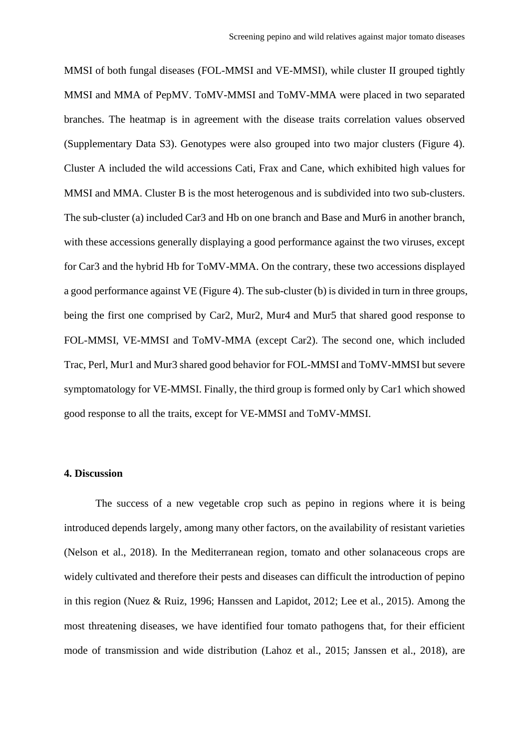MMSI of both fungal diseases (FOL-MMSI and VE-MMSI), while cluster II grouped tightly MMSI and MMA of PepMV. ToMV-MMSI and ToMV-MMA were placed in two separated branches. The heatmap is in agreement with the disease traits correlation values observed (Supplementary Data S3). Genotypes were also grouped into two major clusters (Figure 4). Cluster A included the wild accessions Cati, Frax and Cane, which exhibited high values for MMSI and MMA. Cluster B is the most heterogenous and is subdivided into two sub-clusters. The sub-cluster (a) included Car3 and Hb on one branch and Base and Mur6 in another branch, with these accessions generally displaying a good performance against the two viruses, except for Car3 and the hybrid Hb for ToMV-MMA. On the contrary, these two accessions displayed a good performance against VE (Figure 4). The sub-cluster (b) is divided in turn in three groups, being the first one comprised by Car2, Mur2, Mur4 and Mur5 that shared good response to FOL-MMSI, VE-MMSI and ToMV-MMA (except Car2). The second one, which included Trac, Perl, Mur1 and Mur3 shared good behavior for FOL-MMSI and ToMV-MMSI but severe symptomatology for VE-MMSI. Finally, the third group is formed only by Car1 which showed good response to all the traits, except for VE-MMSI and ToMV-MMSI.

# **4. Discussion**

The success of a new vegetable crop such as pepino in regions where it is being introduced depends largely, among many other factors, on the availability of resistant varieties (Nelson et al., 2018). In the Mediterranean region, tomato and other solanaceous crops are widely cultivated and therefore their pests and diseases can difficult the introduction of pepino in this region (Nuez & Ruiz, 1996; Hanssen and Lapidot, 2012; Lee et al., 2015). Among the most threatening diseases, we have identified four tomato pathogens that, for their efficient mode of transmission and wide distribution (Lahoz et al., 2015; Janssen et al., 2018), are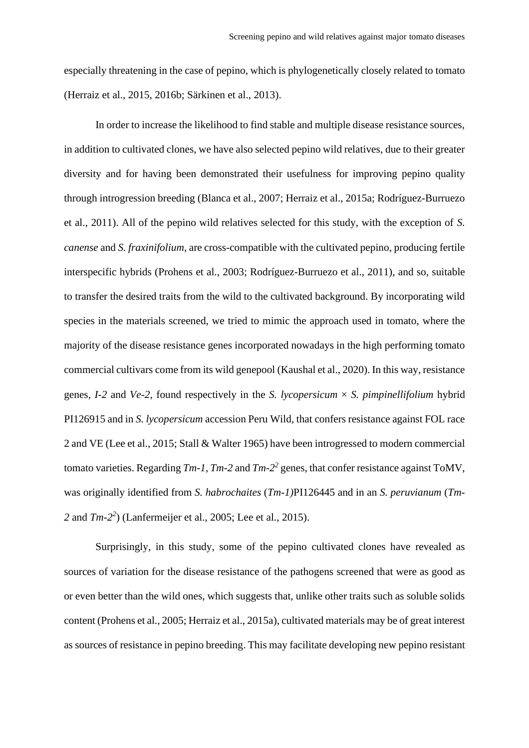especially threatening in the case of pepino, which is phylogenetically closely related to tomato (Herraiz et al., 2015, 2016b; Särkinen et al., 2013).

In order to increase the likelihood to find stable and multiple disease resistance sources, in addition to cultivated clones, we have also selected pepino wild relatives, due to their greater diversity and for having been demonstrated their usefulness for improving pepino quality through introgression breeding (Blanca et al., 2007; Herraiz et al., 2015a; Rodríguez-Burruezo et al., 2011). All of the pepino wild relatives selected for this study, with the exception of *S. canense* and *S. fraxinifolium*, are cross-compatible with the cultivated pepino, producing fertile interspecific hybrids (Prohens et al., 2003; Rodríguez-Burruezo et al., 2011), and so, suitable to transfer the desired traits from the wild to the cultivated background. By incorporating wild species in the materials screened, we tried to mimic the approach used in tomato, where the majority of the disease resistance genes incorporated nowadays in the high performing tomato commercial cultivars come from its wild genepool (Kaushal et al., 2020). In this way, resistance genes, *I-2* and *Ve-2*, found respectively in the *S. lycopersicum*  $\times$  *S. pimpinellifolium* hybrid PI126915 and in *S. lycopersicum* accession Peru Wild, that confers resistance against FOL race 2 and VE (Lee et al., 2015; Stall & Walter 1965) have been introgressed to modern commercial tomato varieties. Regarding *Tm-1*, *Tm-2* and *Tm-2 2* genes, that confer resistance against ToMV, was originally identified from *S. habrochaites* (*Tm-1)*PI126445 and in an *S. peruvianum* (*Tm-2* and *Tm-2 2* ) (Lanfermeijer et al., 2005; Lee et al., 2015).

Surprisingly, in this study, some of the pepino cultivated clones have revealed as sources of variation for the disease resistance of the pathogens screened that were as good as or even better than the wild ones, which suggests that, unlike other traits such as soluble solids content (Prohens et al., 2005; Herraiz et al., 2015a), cultivated materials may be of great interest as sources of resistance in pepino breeding. This may facilitate developing new pepino resistant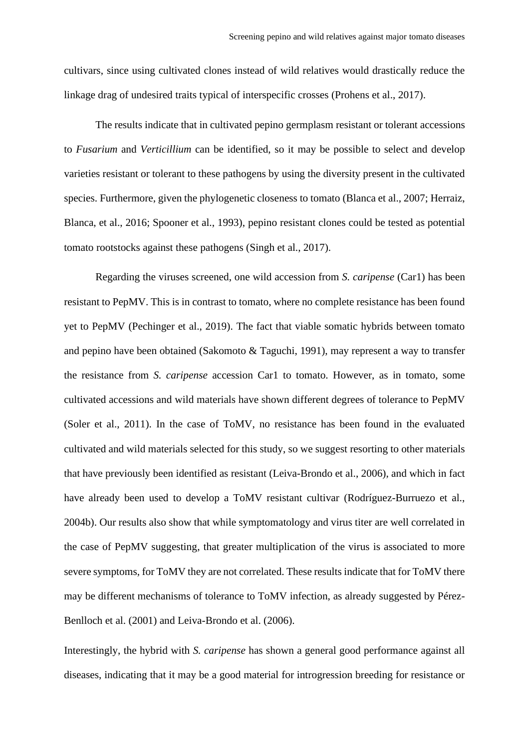cultivars, since using cultivated clones instead of wild relatives would drastically reduce the linkage drag of undesired traits typical of interspecific crosses (Prohens et al., 2017).

The results indicate that in cultivated pepino germplasm resistant or tolerant accessions to *Fusarium* and *Verticillium* can be identified, so it may be possible to select and develop varieties resistant or tolerant to these pathogens by using the diversity present in the cultivated species. Furthermore, given the phylogenetic closeness to tomato (Blanca et al., 2007; Herraiz, Blanca, et al., 2016; Spooner et al., 1993), pepino resistant clones could be tested as potential tomato rootstocks against these pathogens (Singh et al., 2017).

Regarding the viruses screened, one wild accession from *S. caripense* (Car1) has been resistant to PepMV. This is in contrast to tomato, where no complete resistance has been found yet to PepMV (Pechinger et al., 2019). The fact that viable somatic hybrids between tomato and pepino have been obtained (Sakomoto & Taguchi, 1991), may represent a way to transfer the resistance from *S. caripense* accession Car1 to tomato. However, as in tomato, some cultivated accessions and wild materials have shown different degrees of tolerance to PepMV (Soler et al., 2011). In the case of ToMV, no resistance has been found in the evaluated cultivated and wild materials selected for this study, so we suggest resorting to other materials that have previously been identified as resistant (Leiva-Brondo et al., 2006), and which in fact have already been used to develop a ToMV resistant cultivar (Rodríguez-Burruezo et al., 2004b). Our results also show that while symptomatology and virus titer are well correlated in the case of PepMV suggesting, that greater multiplication of the virus is associated to more severe symptoms, for ToMV they are not correlated. These results indicate that for ToMV there may be different mechanisms of tolerance to ToMV infection, as already suggested by Pérez-Benlloch et al. (2001) and Leiva-Brondo et al. (2006).

Interestingly, the hybrid with *S. caripense* has shown a general good performance against all diseases, indicating that it may be a good material for introgression breeding for resistance or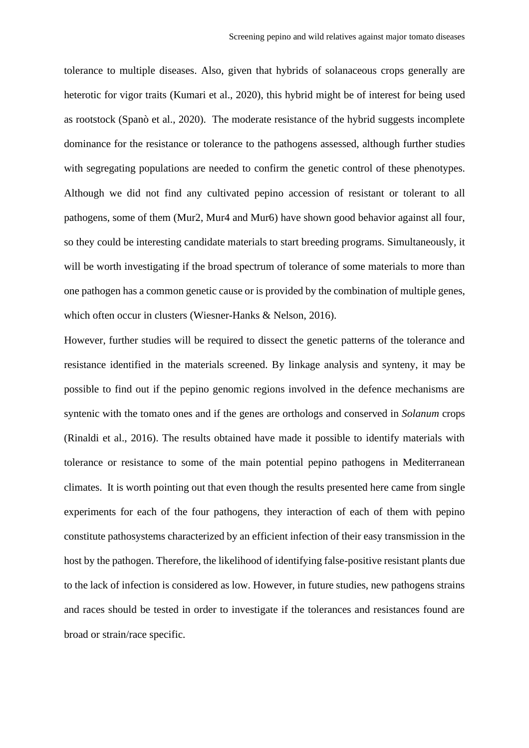tolerance to multiple diseases. Also, given that hybrids of solanaceous crops generally are heterotic for vigor traits (Kumari et al., 2020), this hybrid might be of interest for being used as rootstock (Spanò et al., 2020). The moderate resistance of the hybrid suggests incomplete dominance for the resistance or tolerance to the pathogens assessed, although further studies with segregating populations are needed to confirm the genetic control of these phenotypes. Although we did not find any cultivated pepino accession of resistant or tolerant to all pathogens, some of them (Mur2, Mur4 and Mur6) have shown good behavior against all four, so they could be interesting candidate materials to start breeding programs. Simultaneously, it will be worth investigating if the broad spectrum of tolerance of some materials to more than one pathogen has a common genetic cause or is provided by the combination of multiple genes, which often occur in clusters (Wiesner-Hanks & Nelson, 2016).

However, further studies will be required to dissect the genetic patterns of the tolerance and resistance identified in the materials screened. By linkage analysis and synteny, it may be possible to find out if the pepino genomic regions involved in the defence mechanisms are syntenic with the tomato ones and if the genes are orthologs and conserved in *Solanum* crops (Rinaldi et al., 2016). The results obtained have made it possible to identify materials with tolerance or resistance to some of the main potential pepino pathogens in Mediterranean climates. It is worth pointing out that even though the results presented here came from single experiments for each of the four pathogens, they interaction of each of them with pepino constitute pathosystems characterized by an efficient infection of their easy transmission in the host by the pathogen. Therefore, the likelihood of identifying false-positive resistant plants due to the lack of infection is considered as low. However, in future studies, new pathogens strains and races should be tested in order to investigate if the tolerances and resistances found are broad or strain/race specific.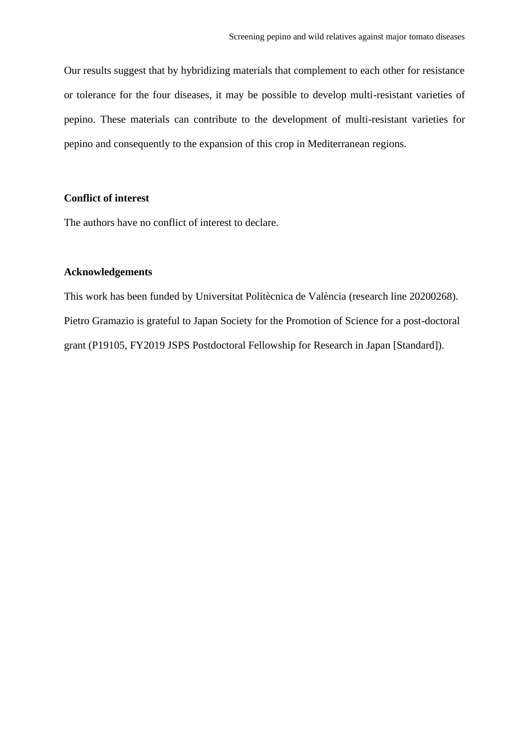Our results suggest that by hybridizing materials that complement to each other for resistance or tolerance for the four diseases, it may be possible to develop multi-resistant varieties of pepino. These materials can contribute to the development of multi-resistant varieties for pepino and consequently to the expansion of this crop in Mediterranean regions.

#### **Conflict of interest**

The authors have no conflict of interest to declare.

# **Acknowledgements**

This work has been funded by Universitat Politècnica de València (research line 20200268). Pietro Gramazio is grateful to Japan Society for the Promotion of Science for a post-doctoral grant (P19105, FY2019 JSPS Postdoctoral Fellowship for Research in Japan [Standard]).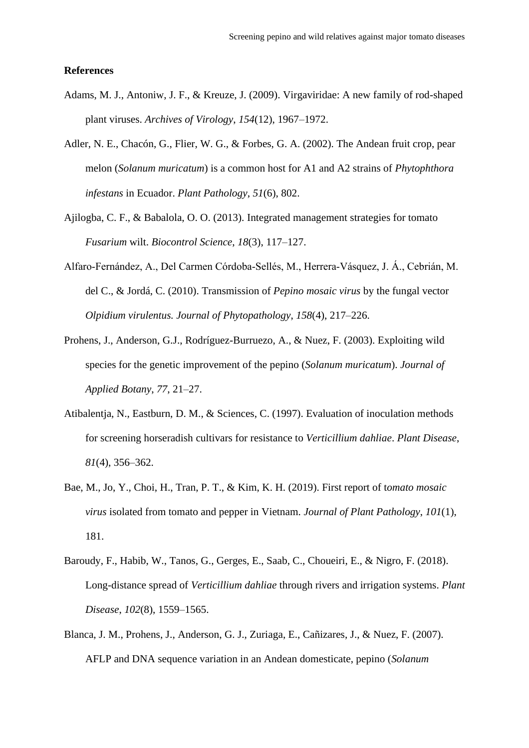#### **References**

- Adams, M. J., Antoniw, J. F., & Kreuze, J. (2009). Virgaviridae: A new family of rod-shaped plant viruses. *Archives of Virology*, *154*(12), 1967–1972.
- Adler, N. E., Chacón, G., Flier, W. G., & Forbes, G. A. (2002). The Andean fruit crop, pear melon (*Solanum muricatum*) is a common host for A1 and A2 strains of *Phytophthora infestans* in Ecuador. *Plant Pathology*, *51*(6), 802.
- Ajilogba, C. F., & Babalola, O. O. (2013). Integrated management strategies for tomato *Fusarium* wilt. *Biocontrol Science*, *18*(3), 117–127.
- Alfaro‐Fernández, A., Del Carmen Córdoba‐Sellés, M., Herrera‐Vásquez, J. Á., Cebrián, M. del C., & Jordá, C. (2010). Transmission of *Pepino mosaic virus* by the fungal vector *Olpidium virulentus. Journal of Phytopathology*, *158*(4), 217–226.
- Prohens, J., Anderson, G.J., Rodríguez-Burruezo, A., & Nuez, F. (2003). Exploiting wild species for the genetic improvement of the pepino (*Solanum muricatum*). *Journal of Applied Botany*, *77*, 21–27.
- Atibalentja, N., Eastburn, D. M., & Sciences, C. (1997). Evaluation of inoculation methods for screening horseradish cultivars for resistance to *Verticillium dahliae*. *Plant Disease*, *81*(4), 356–362.
- Bae, M., Jo, Y., Choi, H., Tran, P. T., & Kim, K. H. (2019). First report of t*omato mosaic virus* isolated from tomato and pepper in Vietnam. *Journal of Plant Pathology*, *101*(1), 181.
- Baroudy, F., Habib, W., Tanos, G., Gerges, E., Saab, C., Choueiri, E., & Nigro, F. (2018). Long-distance spread of *Verticillium dahliae* through rivers and irrigation systems. *Plant Disease*, *102*(8), 1559–1565.
- Blanca, J. M., Prohens, J., Anderson, G. J., Zuriaga, E., Cañizares, J., & Nuez, F. (2007). AFLP and DNA sequence variation in an Andean domesticate, pepino (*Solanum*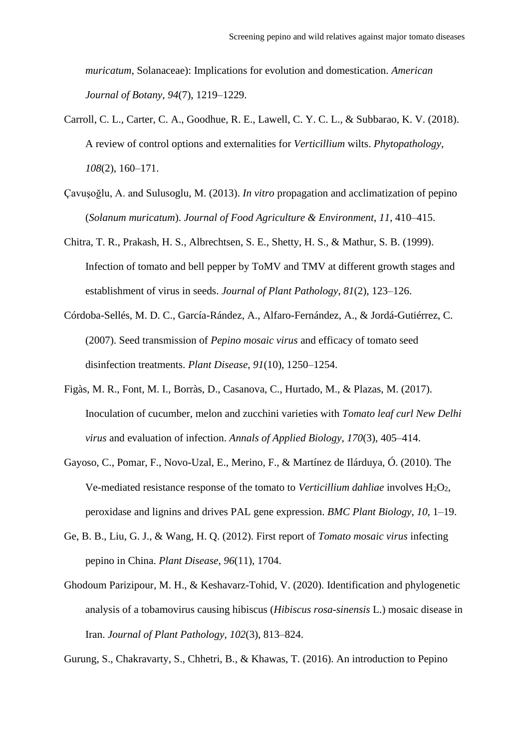*muricatum*, Solanaceae): Implications for evolution and domestication. *American Journal of Botany*, *94*(7), 1219–1229.

- Carroll, C. L., Carter, C. A., Goodhue, R. E., Lawell, C. Y. C. L., & Subbarao, K. V. (2018). A review of control options and externalities for *Verticillium* wilts. *Phytopathology*, *108*(2), 160–171.
- Çavuşoğlu, A. and Sulusoglu, M. (2013). *In vitro* propagation and acclimatization of pepino (*Solanum muricatum*). *Journal of Food Agriculture & Environment*, *11*, 410–415.
- Chitra, T. R., Prakash, H. S., Albrechtsen, S. E., Shetty, H. S., & Mathur, S. B. (1999). Infection of tomato and bell pepper by ToMV and TMV at different growth stages and establishment of virus in seeds. *Journal of Plant Pathology*, *81*(2), 123–126.
- Córdoba-Sellés, M. D. C., García-Rández, A., Alfaro-Fernández, A., & Jordá-Gutiérrez, C. (2007). Seed transmission of *Pepino mosaic virus* and efficacy of tomato seed disinfection treatments. *Plant Disease*, *91*(10), 1250–1254.
- Figàs, M. R., Font, M. I., Borràs, D., Casanova, C., Hurtado, M., & Plazas, M. (2017). Inoculation of cucumber, melon and zucchini varieties with *Tomato leaf curl New Delhi virus* and evaluation of infection. *Annals of Applied Biology*, *170*(3), 405–414.
- Gayoso, C., Pomar, F., Novo-Uzal, E., Merino, F., & Martínez de Ilárduya, Ó. (2010). The Ve-mediated resistance response of the tomato to *Verticillium dahliae* involves H<sub>2</sub>O<sub>2</sub>, peroxidase and lignins and drives PAL gene expression. *BMC Plant Biology*, *10*, 1–19.
- Ge, B. B., Liu, G. J., & Wang, H. Q. (2012). First report of *Tomato mosaic virus* infecting pepino in China. *Plant Disease*, *96*(11), 1704.
- Ghodoum Parizipour, M. H., & Keshavarz-Tohid, V. (2020). Identification and phylogenetic analysis of a tobamovirus causing hibiscus (*Hibiscus rosa-sinensis* L.) mosaic disease in Iran. *Journal of Plant Pathology*, *102*(3), 813–824.

Gurung, S., Chakravarty, S., Chhetri, B., & Khawas, T. (2016). An introduction to Pepino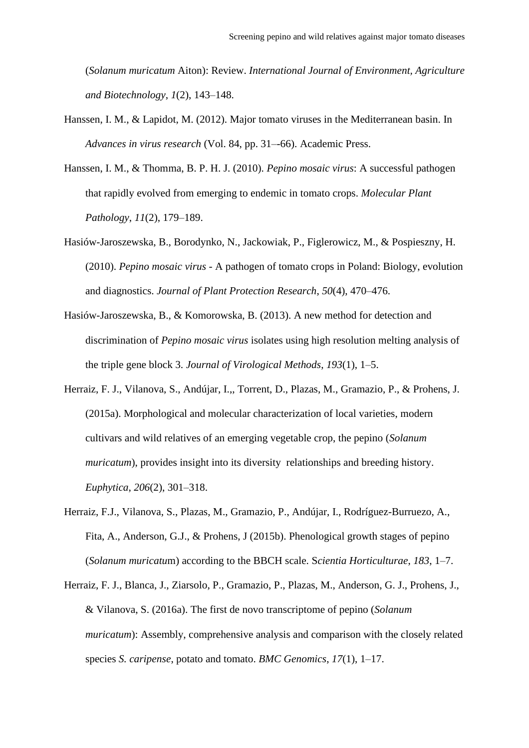(*Solanum muricatum* Aiton): Review. *International Journal of Environment, Agriculture and Biotechnology*, *1*(2), 143–148.

- Hanssen, I. M., & Lapidot, M. (2012). Major tomato viruses in the Mediterranean basin. In *Advances in virus research* (Vol. 84, pp. 31–-66). Academic Press.
- Hanssen, I. M., & Thomma, B. P. H. J. (2010). *Pepino mosaic virus*: A successful pathogen that rapidly evolved from emerging to endemic in tomato crops. *Molecular Plant Pathology*, *11*(2), 179–189.
- Hasiów-Jaroszewska, B., Borodynko, N., Jackowiak, P., Figlerowicz, M., & Pospieszny, H. (2010). *Pepino mosaic virus* - A pathogen of tomato crops in Poland: Biology, evolution and diagnostics. *Journal of Plant Protection Research*, *50*(4), 470–476.
- Hasiów-Jaroszewska, B., & Komorowska, B. (2013). A new method for detection and discrimination of *Pepino mosaic virus* isolates using high resolution melting analysis of the triple gene block 3. *Journal of Virological Methods*, *193*(1), 1–5.
- Herraiz, F. J., Vilanova, S., Andújar, I.,, Torrent, D., Plazas, M., Gramazio, P., & Prohens, J. (2015a). Morphological and molecular characterization of local varieties, modern cultivars and wild relatives of an emerging vegetable crop, the pepino (*Solanum muricatum*), provides insight into its diversity relationships and breeding history. *Euphytica*, *206*(2), 301–318.
- Herraiz, F.J., Vilanova, S., Plazas, M., Gramazio, P., Andújar, I., Rodríguez-Burruezo, A., Fita, A., Anderson, G.J., & Prohens, J (2015b). Phenological growth stages of pepino (*Solanum muricatu*m) according to the BBCH scale. S*cientia Horticulturae*, *183*, 1–7.
- Herraiz, F. J., Blanca, J., Ziarsolo, P., Gramazio, P., Plazas, M., Anderson, G. J., Prohens, J., & Vilanova, S. (2016a). The first de novo transcriptome of pepino (*Solanum muricatum*): Assembly, comprehensive analysis and comparison with the closely related species *S. caripense*, potato and tomato. *BMC Genomics*, *17*(1), 1–17.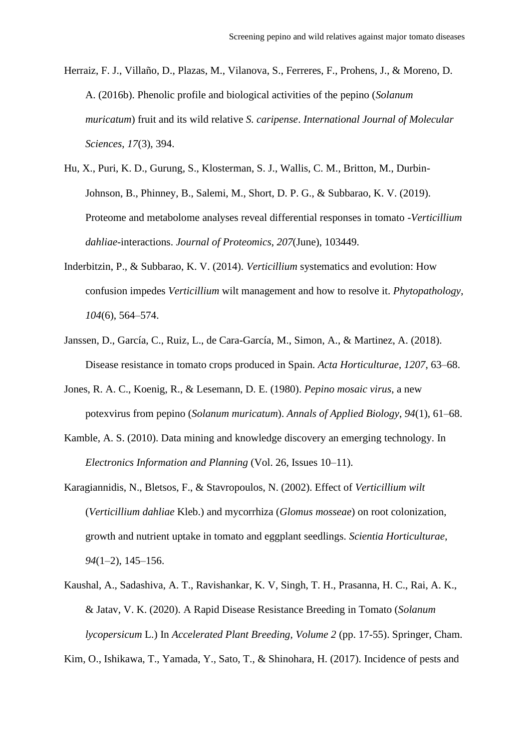- Herraiz, F. J., Villaño, D., Plazas, M., Vilanova, S., Ferreres, F., Prohens, J., & Moreno, D. A. (2016b). Phenolic profile and biological activities of the pepino (*Solanum muricatum*) fruit and its wild relative *S. caripense*. *International Journal of Molecular Sciences*, *17*(3), 394.
- Hu, X., Puri, K. D., Gurung, S., Klosterman, S. J., Wallis, C. M., Britton, M., Durbin-Johnson, B., Phinney, B., Salemi, M., Short, D. P. G., & Subbarao, K. V. (2019). Proteome and metabolome analyses reveal differential responses in tomato -*Verticillium dahliae*-interactions. *Journal of Proteomics*, *207*(June), 103449.
- Inderbitzin, P., & Subbarao, K. V. (2014). *Verticillium* systematics and evolution: How confusion impedes *Verticillium* wilt management and how to resolve it. *Phytopathology*, *104*(6), 564–574.
- Janssen, D., García, C., Ruiz, L., de Cara-García, M., Simon, A., & Martinez, A. (2018). Disease resistance in tomato crops produced in Spain. *Acta Horticulturae*, *1207*, 63–68.
- Jones, R. A. C., Koenig, R., & Lesemann, D. E. (1980). *Pepino mosaic virus*, a new potexvirus from pepino (*Solanum muricatum*). *Annals of Applied Biology*, *94*(1), 61–68.
- Kamble, A. S. (2010). Data mining and knowledge discovery an emerging technology. In *Electronics Information and Planning* (Vol. 26, Issues 10–11).
- Karagiannidis, N., Bletsos, F., & Stavropoulos, N. (2002). Effect of *Verticillium wilt* (*Verticillium dahliae* Kleb.) and mycorrhiza (*Glomus mosseae*) on root colonization, growth and nutrient uptake in tomato and eggplant seedlings. *Scientia Horticulturae*, *94*(1–2), 145–156.
- Kaushal, A., Sadashiva, A. T., Ravishankar, K. V, Singh, T. H., Prasanna, H. C., Rai, A. K., & Jatav, V. K. (2020). A Rapid Disease Resistance Breeding in Tomato (*Solanum lycopersicum* L.) In *Accelerated Plant Breeding, Volume 2* (pp. 17-55). Springer, Cham.

Kim, O., Ishikawa, T., Yamada, Y., Sato, T., & Shinohara, H. (2017). Incidence of pests and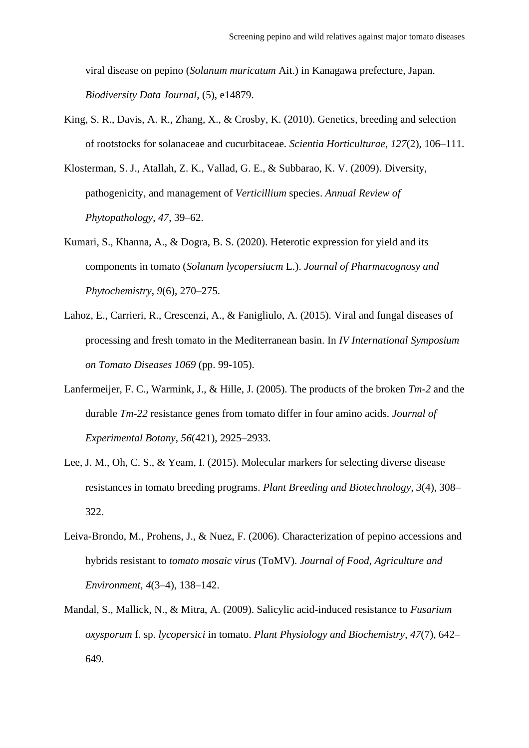viral disease on pepino (*Solanum muricatum* Ait.) in Kanagawa prefecture, Japan. *Biodiversity Data Journal*, (5), e14879.

- King, S. R., Davis, A. R., Zhang, X., & Crosby, K. (2010). Genetics, breeding and selection of rootstocks for solanaceae and cucurbitaceae. *Scientia Horticulturae*, *127*(2), 106–111.
- Klosterman, S. J., Atallah, Z. K., Vallad, G. E., & Subbarao, K. V. (2009). Diversity, pathogenicity, and management of *Verticillium* species. *Annual Review of Phytopathology*, *47*, 39–62.
- Kumari, S., Khanna, A., & Dogra, B. S. (2020). Heterotic expression for yield and its components in tomato (*Solanum lycopersiucm* L.). *Journal of Pharmacognosy and Phytochemistry*, *9*(6), 270–275.
- Lahoz, E., Carrieri, R., Crescenzi, A., & Fanigliulo, A. (2015). Viral and fungal diseases of processing and fresh tomato in the Mediterranean basin. In *IV International Symposium on Tomato Diseases 1069* (pp. 99-105).
- Lanfermeijer, F. C., Warmink, J., & Hille, J. (2005). The products of the broken *Tm-2* and the durable *Tm-22* resistance genes from tomato differ in four amino acids. *Journal of Experimental Botany*, *56*(421), 2925–2933.
- Lee, J. M., Oh, C. S., & Yeam, I. (2015). Molecular markers for selecting diverse disease resistances in tomato breeding programs. *Plant Breeding and Biotechnology*, *3*(4), 308– 322.
- Leiva-Brondo, M., Prohens, J., & Nuez, F. (2006). Characterization of pepino accessions and hybrids resistant to *tomato mosaic virus* (ToMV). *Journal of Food, Agriculture and Environment*, *4*(3–4), 138–142.
- Mandal, S., Mallick, N., & Mitra, A. (2009). Salicylic acid-induced resistance to *Fusarium oxysporum* f. sp. *lycopersici* in tomato. *Plant Physiology and Biochemistry*, *47*(7), 642– 649.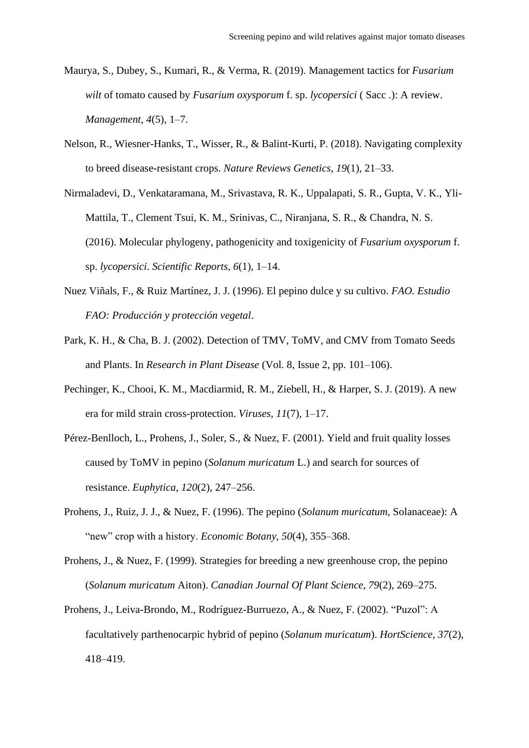- Maurya, S., Dubey, S., Kumari, R., & Verma, R. (2019). Management tactics for *Fusarium wilt* of tomato caused by *Fusarium oxysporum* f. sp. *lycopersici* ( Sacc .): A review. *Management*, *4*(5), 1–7.
- Nelson, R., Wiesner-Hanks, T., Wisser, R., & Balint-Kurti, P. (2018). Navigating complexity to breed disease-resistant crops. *Nature Reviews Genetics*, *19*(1), 21–33.
- Nirmaladevi, D., Venkataramana, M., Srivastava, R. K., Uppalapati, S. R., Gupta, V. K., Yli-Mattila, T., Clement Tsui, K. M., Srinivas, C., Niranjana, S. R., & Chandra, N. S. (2016). Molecular phylogeny, pathogenicity and toxigenicity of *Fusarium oxysporum* f. sp. *lycopersici*. *Scientific Reports*, *6*(1), 1–14.
- Nuez Viñals, F., & Ruiz Martínez, J. J. (1996). El pepino dulce y su cultivo. *FAO. Estudio FAO: Producción y protección vegetal*.
- Park, K. H., & Cha, B. J. (2002). Detection of TMV, ToMV, and CMV from Tomato Seeds and Plants. In *Research in Plant Disease* (Vol. 8, Issue 2, pp. 101–106).
- Pechinger, K., Chooi, K. M., Macdiarmid, R. M., Ziebell, H., & Harper, S. J. (2019). A new era for mild strain cross-protection. *Viruses*, *11*(7), 1–17.
- Pérez-Benlloch, L., Prohens, J., Soler, S., & Nuez, F. (2001). Yield and fruit quality losses caused by ToMV in pepino (*Solanum muricatum* L.) and search for sources of resistance. *Euphytica*, *120*(2), 247–256.
- Prohens, J., Ruiz, J. J., & Nuez, F. (1996). The pepino (*Solanum muricatum*, Solanaceae): A "new" crop with a history. *Economic Botany*, *50*(4), 355–368.
- Prohens, J., & Nuez, F. (1999). Strategies for breeding a new greenhouse crop, the pepino (*Solanum muricatum* Aiton). *Canadian Journal Of Plant Science*, *79*(2), 269–275.
- Prohens, J., Leiva-Brondo, M., Rodríguez-Burruezo, A., & Nuez, F. (2002). "Puzol": A facultatively parthenocarpic hybrid of pepino (*Solanum muricatum*). *HortScience*, *37*(2), 418–419.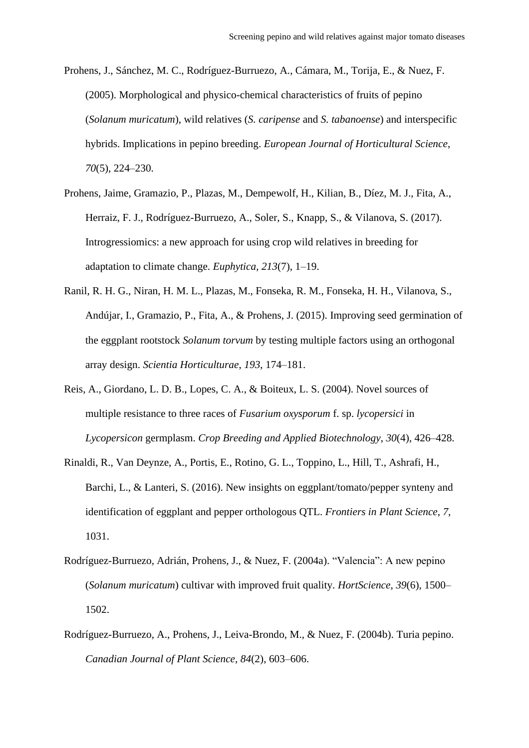- Prohens, J., Sánchez, M. C., Rodríguez-Burruezo, A., Cámara, M., Torija, E., & Nuez, F. (2005). Morphological and physico-chemical characteristics of fruits of pepino (*Solanum muricatum*), wild relatives (*S. caripense* and *S. tabanoense*) and interspecific hybrids. Implications in pepino breeding. *European Journal of Horticultural Science*, *70*(5), 224–230.
- Prohens, Jaime, Gramazio, P., Plazas, M., Dempewolf, H., Kilian, B., Díez, M. J., Fita, A., Herraiz, F. J., Rodríguez-Burruezo, A., Soler, S., Knapp, S., & Vilanova, S. (2017). Introgressiomics: a new approach for using crop wild relatives in breeding for adaptation to climate change. *Euphytica*, *213*(7), 1–19.
- Ranil, R. H. G., Niran, H. M. L., Plazas, M., Fonseka, R. M., Fonseka, H. H., Vilanova, S., Andújar, I., Gramazio, P., Fita, A., & Prohens, J. (2015). Improving seed germination of the eggplant rootstock *Solanum torvum* by testing multiple factors using an orthogonal array design. *Scientia Horticulturae*, *193*, 174–181.
- Reis, A., Giordano, L. D. B., Lopes, C. A., & Boiteux, L. S. (2004). Novel sources of multiple resistance to three races of *Fusarium oxysporum* f. sp. *lycopersici* in *Lycopersicon* germplasm. *Crop Breeding and Applied Biotechnology*, *30*(4), 426–428.
- Rinaldi, R., Van Deynze, A., Portis, E., Rotino, G. L., Toppino, L., Hill, T., Ashrafi, H., Barchi, L., & Lanteri, S. (2016). New insights on eggplant/tomato/pepper synteny and identification of eggplant and pepper orthologous QTL. *Frontiers in Plant Science*, *7*, 1031.
- Rodríguez-Burruezo, Adrián, Prohens, J., & Nuez, F. (2004a). "Valencia": A new pepino (*Solanum muricatum*) cultivar with improved fruit quality. *HortScience*, *39*(6), 1500– 1502.
- Rodríguez-Burruezo, A., Prohens, J., Leiva-Brondo, M., & Nuez, F. (2004b). Turia pepino. *Canadian Journal of Plant Science*, *84*(2), 603–606.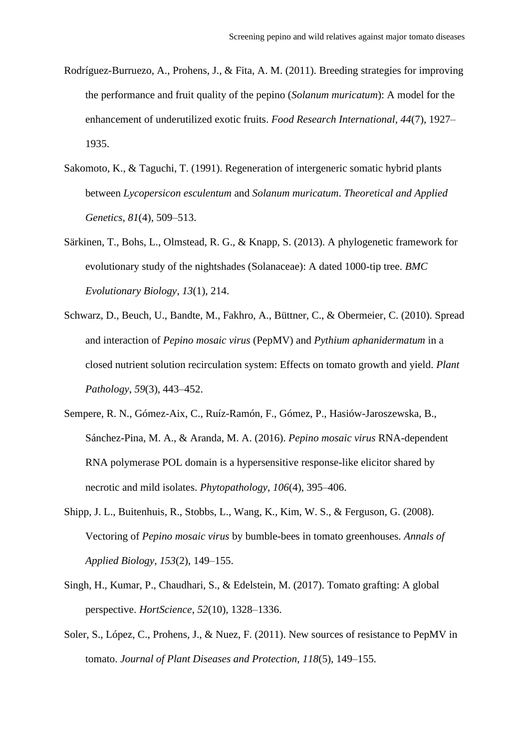- Rodríguez-Burruezo, A., Prohens, J., & Fita, A. M. (2011). Breeding strategies for improving the performance and fruit quality of the pepino (*Solanum muricatum*): A model for the enhancement of underutilized exotic fruits. *Food Research International*, *44*(7), 1927– 1935.
- Sakomoto, K., & Taguchi, T. (1991). Regeneration of intergeneric somatic hybrid plants between *Lycopersicon esculentum* and *Solanum muricatum*. *Theoretical and Applied Genetics*, *81*(4), 509–513.
- Särkinen, T., Bohs, L., Olmstead, R. G., & Knapp, S. (2013). A phylogenetic framework for evolutionary study of the nightshades (Solanaceae): A dated 1000-tip tree. *BMC Evolutionary Biology*, *13*(1), 214.
- Schwarz, D., Beuch, U., Bandte, M., Fakhro, A., Büttner, C., & Obermeier, C. (2010). Spread and interaction of *Pepino mosaic virus* (PepMV) and *Pythium aphanidermatum* in a closed nutrient solution recirculation system: Effects on tomato growth and yield. *Plant Pathology*, *59*(3), 443–452.
- Sempere, R. N., Gómez-Aix, C., Ruíz-Ramón, F., Gómez, P., Hasiów-Jaroszewska, B., Sánchez-Pina, M. A., & Aranda, M. A. (2016). *Pepino mosaic virus* RNA-dependent RNA polymerase POL domain is a hypersensitive response-like elicitor shared by necrotic and mild isolates. *Phytopathology*, *106*(4), 395–406.
- Shipp, J. L., Buitenhuis, R., Stobbs, L., Wang, K., Kim, W. S., & Ferguson, G. (2008). Vectoring of *Pepino mosaic virus* by bumble-bees in tomato greenhouses. *Annals of Applied Biology*, *153*(2), 149–155.
- Singh, H., Kumar, P., Chaudhari, S., & Edelstein, M. (2017). Tomato grafting: A global perspective. *HortScience*, *52*(10), 1328–1336.
- Soler, S., López, C., Prohens, J., & Nuez, F. (2011). New sources of resistance to PepMV in tomato. *Journal of Plant Diseases and Protection*, *118*(5), 149–155.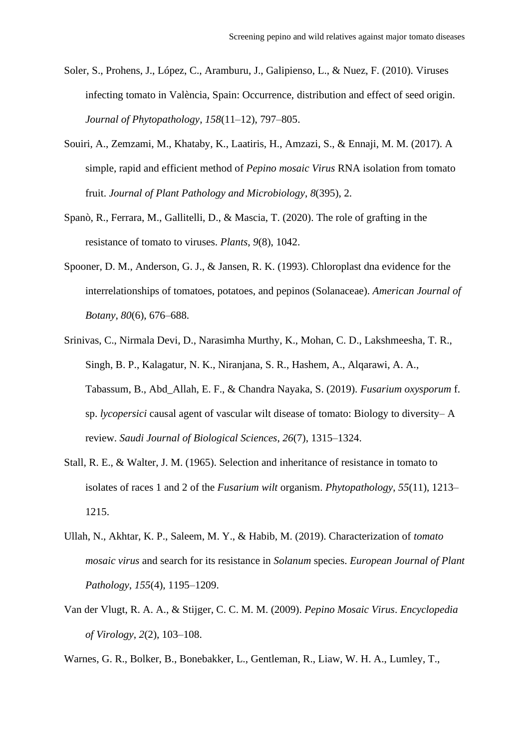- Soler, S., Prohens, J., López, C., Aramburu, J., Galipienso, L., & Nuez, F. (2010). Viruses infecting tomato in València, Spain: Occurrence, distribution and effect of seed origin. *Journal of Phytopathology*, *158*(11–12), 797–805.
- Souiri, A., Zemzami, M., Khataby, K., Laatiris, H., Amzazi, S., & Ennaji, M. M. (2017). A simple, rapid and efficient method of *Pepino mosaic Virus* RNA isolation from tomato fruit. *Journal of Plant Pathology and Microbiology*, *8*(395), 2.
- Spanò, R., Ferrara, M., Gallitelli, D., & Mascia, T. (2020). The role of grafting in the resistance of tomato to viruses. *Plants*, *9*(8), 1042.
- Spooner, D. M., Anderson, G. J., & Jansen, R. K. (1993). Chloroplast dna evidence for the interrelationships of tomatoes, potatoes, and pepinos (Solanaceae). *American Journal of Botany*, *80*(6), 676–688.
- Srinivas, C., Nirmala Devi, D., Narasimha Murthy, K., Mohan, C. D., Lakshmeesha, T. R., Singh, B. P., Kalagatur, N. K., Niranjana, S. R., Hashem, A., Alqarawi, A. A., Tabassum, B., Abd\_Allah, E. F., & Chandra Nayaka, S. (2019). *Fusarium oxysporum* f. sp. *lycopersici* causal agent of vascular wilt disease of tomato: Biology to diversity– A review. *Saudi Journal of Biological Sciences*, *26*(7), 1315–1324.
- Stall, R. E., & Walter, J. M. (1965). Selection and inheritance of resistance in tomato to isolates of races 1 and 2 of the *Fusarium wilt* organism. *Phytopathology*, *55*(11), 1213– 1215.
- Ullah, N., Akhtar, K. P., Saleem, M. Y., & Habib, M. (2019). Characterization of *tomato mosaic virus* and search for its resistance in *Solanum* species. *European Journal of Plant Pathology*, *155*(4), 1195–1209.
- Van der Vlugt, R. A. A., & Stijger, C. C. M. M. (2009). *Pepino Mosaic Virus*. *Encyclopedia of Virology*, *2*(2), 103–108.
- Warnes, G. R., Bolker, B., Bonebakker, L., Gentleman, R., Liaw, W. H. A., Lumley, T.,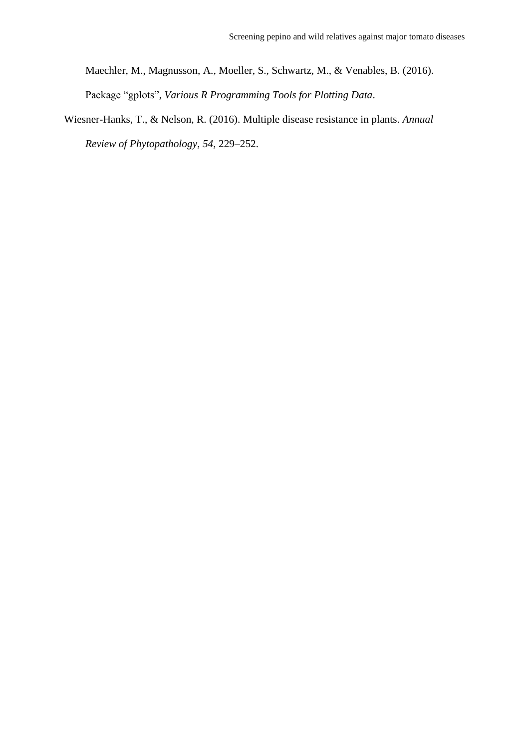Maechler, M., Magnusson, A., Moeller, S., Schwartz, M., & Venables, B. (2016). Package "gplots", *Various R Programming Tools for Plotting Data*.

Wiesner-Hanks, T., & Nelson, R. (2016). Multiple disease resistance in plants. *Annual Review of Phytopathology*, *54*, 229–252.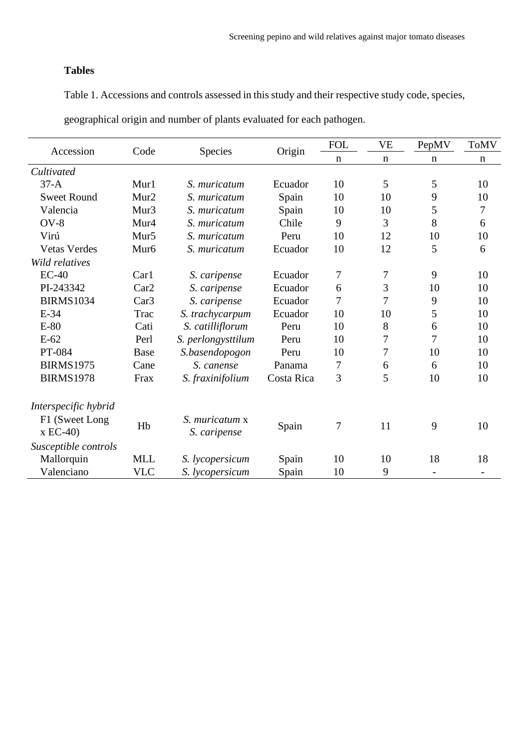# **Tables**

Table 1. Accessions and controls assessed in this study and their respective study code, species,

| Accession                   | Code             |                                |            | <b>FOL</b>  | <b>VE</b>                  | PepMV | <b>ToMV</b> |
|-----------------------------|------------------|--------------------------------|------------|-------------|----------------------------|-------|-------------|
|                             |                  | <b>Species</b>                 | Origin     | $\mathbf n$ | $\mathbf n$<br>$\mathbf n$ |       | $\mathbf n$ |
| Cultivated                  |                  |                                |            |             |                            |       |             |
| $37-A$                      | Mur1             | S. muricatum                   | Ecuador    | 10          | 5                          | 5     | 10          |
| <b>Sweet Round</b>          | Mur <sub>2</sub> | S. muricatum                   | Spain      | 10          | 10                         | 9     | 10          |
| Valencia                    | Mur <sub>3</sub> | S. muricatum                   | Spain      | 10          | 10                         | 5     | $\tau$      |
| $OV-8$                      | Mur4             | S. muricatum                   | Chile      | 9           | 3                          | 8     | 6           |
| Virú                        | Mur <sub>5</sub> | S. muricatum                   | Peru       | 10          | 12                         | 10    | 10          |
| <b>Vetas Verdes</b>         | Mur <sub>6</sub> | S. muricatum                   | Ecuador    | 10          | 12                         | 5     | 6           |
| Wild relatives              |                  |                                |            |             |                            |       |             |
| $EC-40$                     | Car1             | S. caripense                   | Ecuador    | 7           | 7                          | 9     | 10          |
| PI-243342                   | Car2             | S. caripense                   | Ecuador    | 6           | 3                          | 10    | 10          |
| <b>BIRMS1034</b>            | Car3             | S. caripense                   | Ecuador    | 7           | 7                          | 9     | 10          |
| $E-34$                      | Trac             | S. trachycarpum                | Ecuador    | 10          | 10                         | 5     | 10          |
| $E-80$                      | Cati             | S. catilliflorum               | Peru       | 10          | 8                          | 6     | 10          |
| $E-62$                      | Perl             | S. perlongysttilum             | Peru       | 10          | 7                          | 7     | 10          |
| PT-084                      | <b>Base</b>      | S.basendopogon                 | Peru       | 10          | 7                          | 10    | 10          |
| <b>BIRMS1975</b>            | Cane             | S. canense                     | Panama     | 7           | 6                          | 6     | 10          |
| <b>BIRMS1978</b>            | Frax             | S. fraxinifolium               | Costa Rica | 3           | 5                          | 10    | 10          |
| Interspecific hybrid        |                  |                                |            |             |                            |       |             |
| F1 (Sweet Long<br>$x EC-40$ | Hb               | S. muricatum x<br>S. caripense | Spain      | 7           | 11                         | 9     | 10          |
| Susceptible controls        |                  |                                |            |             |                            |       |             |
| Mallorquin                  | <b>MLL</b>       | S. lycopersicum                | Spain      | 10          | 10                         | 18    | 18          |
| Valenciano                  | <b>VLC</b>       | S. lycopersicum                | Spain      | 10          | 9                          |       |             |

geographical origin and number of plants evaluated for each pathogen.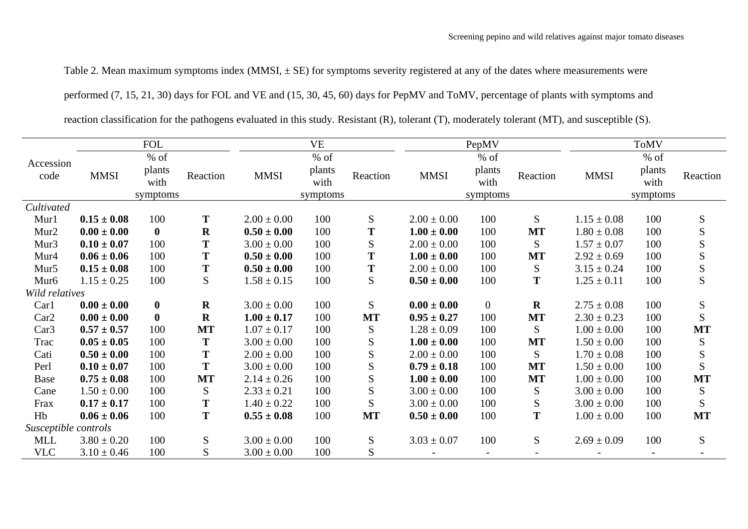Table 2. Mean maximum symptoms index  $(MMSI, \pm SE)$  for symptoms severity registered at any of the dates where measurements were

performed (7, 15, 21, 30) days for FOL and VE and (15, 30, 45, 60) days for PepMV and ToMV, percentage of plants with symptoms and

reaction classification for the pathogens evaluated in this study*.* Resistant (R), tolerant (T), moderately tolerant (MT), and susceptible (S).

|                      | <b>FOL</b>      |                |           | <b>VE</b>       |                |               | PepMV           |                |             | <b>ToMV</b>     |                |               |
|----------------------|-----------------|----------------|-----------|-----------------|----------------|---------------|-----------------|----------------|-------------|-----------------|----------------|---------------|
| Accession            |                 | $%$ of         |           |                 | $%$ of         |               |                 | $%$ of         |             |                 | $%$ of         |               |
| code                 | <b>MMSI</b>     | plants<br>with | Reaction  | <b>MMSI</b>     | plants<br>with | Reaction      | <b>MMSI</b>     | plants<br>with | Reaction    | <b>MMSI</b>     | plants<br>with | Reaction      |
|                      |                 | symptoms       |           |                 | symptoms       |               |                 | symptoms       |             |                 | symptoms       |               |
| Cultivated           |                 |                |           |                 |                |               |                 |                |             |                 |                |               |
| Mur1                 | $0.15 \pm 0.08$ | 100            | T         | $2.00 \pm 0.00$ | 100            | S             | $2.00 \pm 0.00$ | 100            | S           | $1.15 \pm 0.08$ | 100            | ${\mathbf S}$ |
| Mur2                 | $0.00 \pm 0.00$ | $\bf{0}$       | $\bf R$   | $0.50 \pm 0.00$ | 100            | T             | $1.00 \pm 0.00$ | 100            | <b>MT</b>   | $1.80 \pm 0.08$ | 100            | ${\bf S}$     |
| Mur <sub>3</sub>     | $0.10 \pm 0.07$ | 100            | T         | $3.00 \pm 0.00$ | 100            | S             | $2.00 \pm 0.00$ | 100            | S           | $1.57 \pm 0.07$ | 100            | S             |
| Mur4                 | $0.06 \pm 0.06$ | 100            | T         | $0.50 \pm 0.00$ | 100            | T             | $1.00 \pm 0.00$ | 100            | <b>MT</b>   | $2.92 \pm 0.69$ | 100            | $rac{S}{S}$   |
| Mur5                 | $0.15 \pm 0.08$ | 100            | T         | $0.50 \pm 0.00$ | 100            | T             | $2.00 \pm 0.00$ | 100            | S           | $3.15 \pm 0.24$ | 100            |               |
| Mur <sub>6</sub>     | $1.15 \pm 0.25$ | 100            | S         | $1.58 \pm 0.15$ | 100            | $S_{\text{}}$ | $0.50 \pm 0.00$ | 100            | T           | $1.25 \pm 0.11$ | 100            | S             |
| Wild relatives       |                 |                |           |                 |                |               |                 |                |             |                 |                |               |
| Car1                 | $0.00 \pm 0.00$ | $\bf{0}$       | $\bf R$   | $3.00 \pm 0.00$ | 100            | S.            | $0.00 \pm 0.00$ | $\mathbf{0}$   | $\mathbf R$ | $2.75 \pm 0.08$ | 100            | ${\bf S}$     |
| Car2                 | $0.00 \pm 0.00$ | $\bf{0}$       | $\bf R$   | $1.00 \pm 0.17$ | 100            | <b>MT</b>     | $0.95 \pm 0.27$ | 100            | <b>MT</b>   | $2.30 \pm 0.23$ | 100            | ${\bf S}$     |
| Car <sub>3</sub>     | $0.57 \pm 0.57$ | 100            | <b>MT</b> | $1.07 \pm 0.17$ | 100            | S             | $1.28 \pm 0.09$ | 100            | S           | $1.00 \pm 0.00$ | 100            | <b>MT</b>     |
| Trac                 | $0.05 \pm 0.05$ | 100            | T         | $3.00 \pm 0.00$ | 100            | $S_{\text{}}$ | $1.00 \pm 0.00$ | 100            | <b>MT</b>   | $1.50 \pm 0.00$ | 100            | ${\bf S}$     |
| Cati                 | $0.50 \pm 0.00$ | 100            | T         | $2.00 \pm 0.00$ | 100            | S             | $2.00 \pm 0.00$ | 100            | S           | $1.70 \pm 0.08$ | 100            | ${\bf S}$     |
| Perl                 | $0.10 \pm 0.07$ | 100            | T         | $3.00 \pm 0.00$ | 100            | S             | $0.79 \pm 0.18$ | 100            | <b>MT</b>   | $1.50 \pm 0.00$ | 100            | S             |
| <b>Base</b>          | $0.75 \pm 0.08$ | 100            | <b>MT</b> | $2.14 \pm 0.26$ | 100            | S             | $1.00 \pm 0.00$ | 100            | <b>MT</b>   | $1.00 \pm 0.00$ | 100            | <b>MT</b>     |
| Cane                 | $1.50 \pm 0.00$ | 100            | S         | $2.33 \pm 0.21$ | 100            | S             | $3.00 \pm 0.00$ | 100            | S           | $3.00 \pm 0.00$ | 100            | ${\mathbf S}$ |
| Frax                 | $0.17 \pm 0.17$ | 100            | T         | $1.40 \pm 0.22$ | 100            | S             | $3.00 \pm 0.00$ | 100            | ${\bf S}$   | $3.00 \pm 0.00$ | 100            | S             |
| Hb                   | $0.06 \pm 0.06$ | 100            | T         | $0.55 \pm 0.08$ | 100            | <b>MT</b>     | $0.50 \pm 0.00$ | 100            | T           | $1.00 \pm 0.00$ | 100            | <b>MT</b>     |
| Susceptible controls |                 |                |           |                 |                |               |                 |                |             |                 |                |               |
| <b>MLL</b>           | $3.80 \pm 0.20$ | 100            | ${\bf S}$ | $3.00 \pm 0.00$ | 100            | S             | $3.03 \pm 0.07$ | 100            | S           | $2.69 \pm 0.09$ | 100            | S             |
| <b>VLC</b>           | $3.10 \pm 0.46$ | 100            | S         | $3.00 \pm 0.00$ | 100            | S             |                 |                |             |                 |                |               |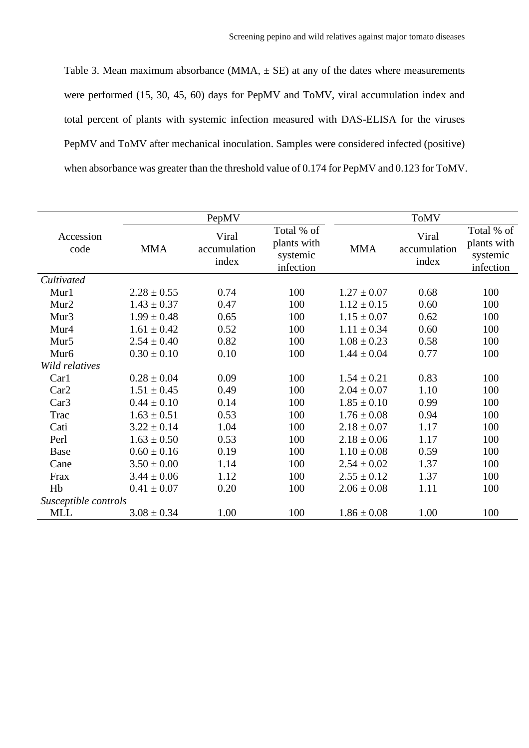Table 3. Mean maximum absorbance (MMA,  $\pm$  SE) at any of the dates where measurements were performed (15, 30, 45, 60) days for PepMV and ToMV, viral accumulation index and total percent of plants with systemic infection measured with DAS-ELISA for the viruses PepMV and ToMV after mechanical inoculation. Samples were considered infected (positive) when absorbance was greater than the threshold value of 0.174 for PepMV and 0.123 for ToMV.

|                      |                 | PepMV                          |                                                    | <b>ToMV</b>     |                                |                                                    |  |  |
|----------------------|-----------------|--------------------------------|----------------------------------------------------|-----------------|--------------------------------|----------------------------------------------------|--|--|
| Accession<br>code    | <b>MMA</b>      | Viral<br>accumulation<br>index | Total % of<br>plants with<br>systemic<br>infection | <b>MMA</b>      | Viral<br>accumulation<br>index | Total % of<br>plants with<br>systemic<br>infection |  |  |
| Cultivated           |                 |                                |                                                    |                 |                                |                                                    |  |  |
| Mur1                 | $2.28 \pm 0.55$ | 0.74                           | 100                                                | $1.27 \pm 0.07$ | 0.68                           | 100                                                |  |  |
| Mur <sub>2</sub>     | $1.43 \pm 0.37$ | 0.47                           | 100                                                | $1.12 \pm 0.15$ | 0.60                           | 100                                                |  |  |
| Mur <sub>3</sub>     | $1.99 \pm 0.48$ | 0.65                           | 100                                                | $1.15 \pm 0.07$ | 0.62                           | 100                                                |  |  |
| Mur4                 | $1.61 \pm 0.42$ | 0.52                           | 100                                                | $1.11 \pm 0.34$ | 0.60                           | 100                                                |  |  |
| Mur <sub>5</sub>     | $2.54 \pm 0.40$ | 0.82                           | 100                                                | $1.08 \pm 0.23$ | 0.58                           | 100                                                |  |  |
| Mur <sub>6</sub>     | $0.30 \pm 0.10$ | 0.10                           | 100                                                | $1.44 \pm 0.04$ | 0.77                           | 100                                                |  |  |
| Wild relatives       |                 |                                |                                                    |                 |                                |                                                    |  |  |
| Car1                 | $0.28 \pm 0.04$ | 0.09                           | 100                                                | $1.54 \pm 0.21$ | 0.83                           | 100                                                |  |  |
| Car2                 | $1.51 \pm 0.45$ | 0.49                           | 100                                                | $2.04 \pm 0.07$ | 1.10                           | 100                                                |  |  |
| Car3                 | $0.44 \pm 0.10$ | 0.14                           | 100                                                | $1.85 \pm 0.10$ | 0.99                           | 100                                                |  |  |
| Trac                 | $1.63 \pm 0.51$ | 0.53                           | 100                                                | $1.76 \pm 0.08$ | 0.94                           | 100                                                |  |  |
| Cati                 | $3.22 \pm 0.14$ | 1.04                           | 100                                                | $2.18 \pm 0.07$ | 1.17                           | 100                                                |  |  |
| Perl                 | $1.63 \pm 0.50$ | 0.53                           | 100                                                | $2.18 \pm 0.06$ | 1.17                           | 100                                                |  |  |
| <b>Base</b>          | $0.60 \pm 0.16$ | 0.19                           | 100                                                | $1.10 \pm 0.08$ | 0.59                           | 100                                                |  |  |
| Cane                 | $3.50 \pm 0.00$ | 1.14                           | 100                                                | $2.54 \pm 0.02$ | 1.37                           | 100                                                |  |  |
| Frax                 | $3.44 \pm 0.06$ | 1.12                           | 100                                                | $2.55 \pm 0.12$ | 1.37                           | 100                                                |  |  |
| Hb                   | $0.41 \pm 0.07$ | 0.20                           | 100                                                | $2.06 \pm 0.08$ | 1.11                           | 100                                                |  |  |
| Susceptible controls |                 |                                |                                                    |                 |                                |                                                    |  |  |
| <b>MLL</b>           | $3.08 \pm 0.34$ | 1.00                           | 100                                                | $1.86 \pm 0.08$ | 1.00                           | 100                                                |  |  |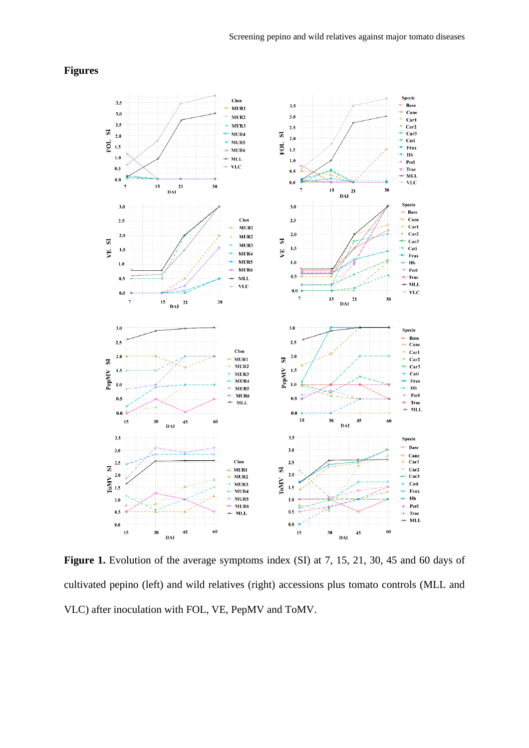# **Figures**



Figure 1. Evolution of the average symptoms index (SI) at 7, 15, 21, 30, 45 and 60 days of cultivated pepino (left) and wild relatives (right) accessions plus tomato controls (MLL and VLC) after inoculation with FOL, VE, PepMV and ToMV.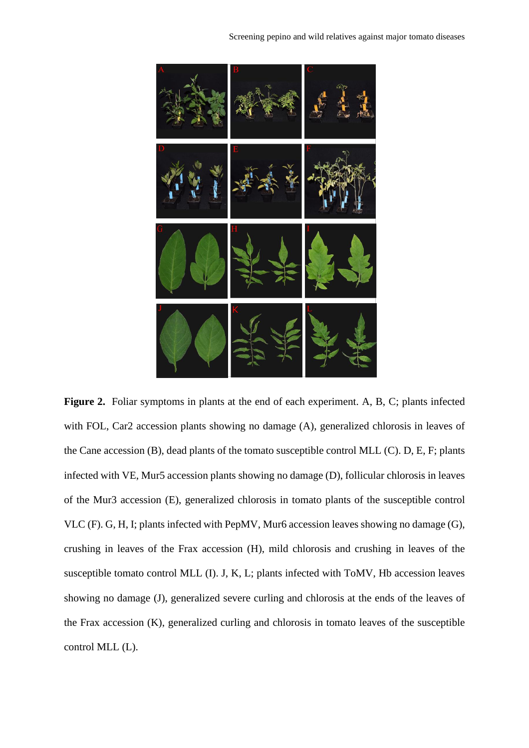

Figure 2. Foliar symptoms in plants at the end of each experiment. A, B, C; plants infected with FOL, Car2 accession plants showing no damage (A), generalized chlorosis in leaves of the Cane accession (B), dead plants of the tomato susceptible control MLL (C). D, E, F; plants infected with VE, Mur5 accession plants showing no damage (D), follicular chlorosis in leaves of the Mur3 accession (E), generalized chlorosis in tomato plants of the susceptible control VLC (F). G, H, I; plants infected with PepMV, Mur6 accession leaves showing no damage (G), crushing in leaves of the Frax accession (H), mild chlorosis and crushing in leaves of the susceptible tomato control MLL (I). J, K, L; plants infected with ToMV, Hb accession leaves showing no damage (J), generalized severe curling and chlorosis at the ends of the leaves of the Frax accession (K), generalized curling and chlorosis in tomato leaves of the susceptible control MLL (L).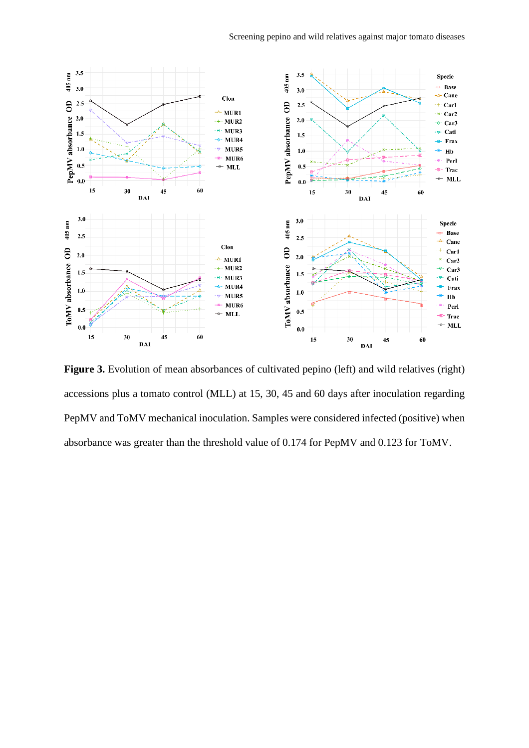

Figure 3. Evolution of mean absorbances of cultivated pepino (left) and wild relatives (right) accessions plus a tomato control (MLL) at 15, 30, 45 and 60 days after inoculation regarding PepMV and ToMV mechanical inoculation. Samples were considered infected (positive) when absorbance was greater than the threshold value of 0.174 for PepMV and 0.123 for ToMV.